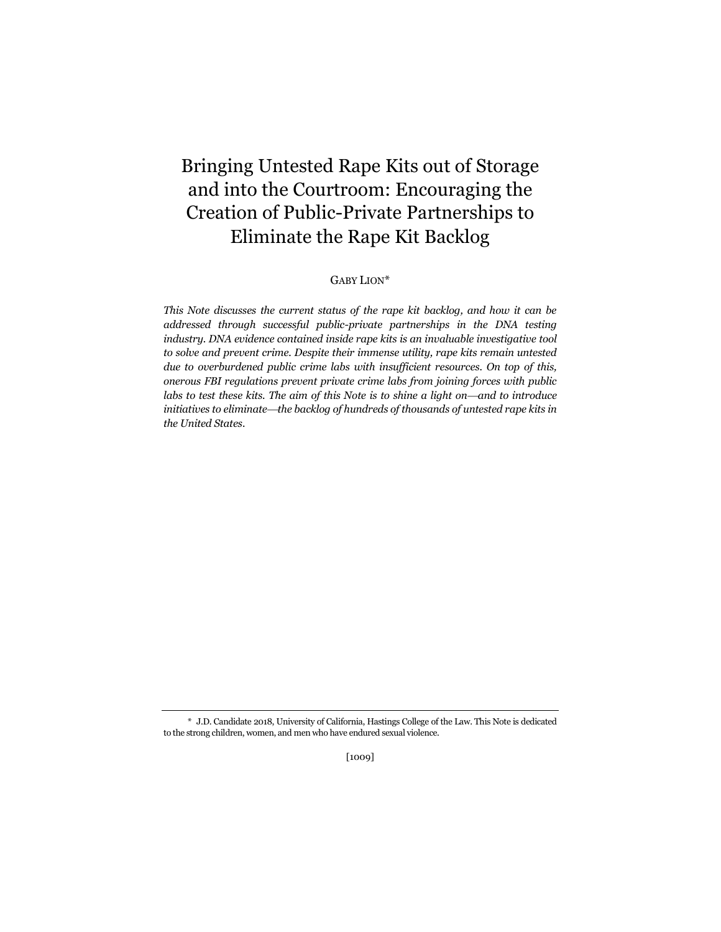# Bringing Untested Rape Kits out of Storage and into the Courtroom: Encouraging the Creation of Public-Private Partnerships to Eliminate the Rape Kit Backlog

GABY LION\*

*This Note discusses the current status of the rape kit backlog, and how it can be*  addressed through successful public-private partnerships in the DNA testing *industry. DNA evidence contained inside rape kits is an invaluable investigative tool to solve and prevent crime. Despite their immense utility, rape kits remain untested due to overburdened public crime labs with insufficient resources. On top of this, onerous FBI regulations prevent private crime labs from joining forces with public*  labs to test these kits. The aim of this Note is to shine a light on—and to introduce *initiatives to eliminatethe backlog of hundreds of thousands of untested rape kits in the United States.*

<sup>\*</sup> J.D. Candidate 2018, University of California, Hastings College of the Law. This Note is dedicated to the strong children, women, and men who have endured sexual violence.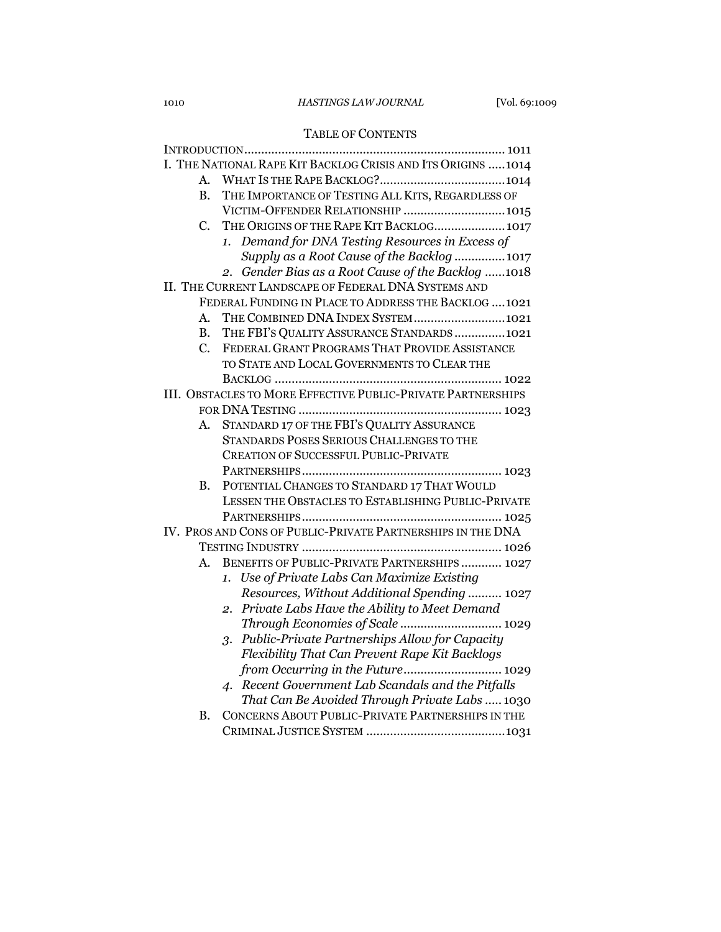## 1010 *HASTINGS LAW JOURNAL* [Vol. 69:1009

## TABLE OF CONTENTS

|                                                              | I. THE NATIONAL RAPE KIT BACKLOG CRISIS AND ITS ORIGINS 1014 |
|--------------------------------------------------------------|--------------------------------------------------------------|
| A.                                                           |                                                              |
| B.                                                           | THE IMPORTANCE OF TESTING ALL KITS, REGARDLESS OF            |
|                                                              | VICTIM-OFFENDER RELATIONSHIP 1015                            |
| C.                                                           | THE ORIGINS OF THE RAPE KIT BACKLOG 1017                     |
|                                                              | Demand for DNA Testing Resources in Excess of<br>1.          |
|                                                              | Supply as a Root Cause of the Backlog  1017                  |
|                                                              | Gender Bias as a Root Cause of the Backlog 1018<br>2.        |
| II. THE CURRENT LANDSCAPE OF FEDERAL DNA SYSTEMS AND         |                                                              |
| FEDERAL FUNDING IN PLACE TO ADDRESS THE BACKLOG  1021        |                                                              |
| $A_{\cdot}$                                                  | THE COMBINED DNA INDEX SYSTEM1021                            |
| <b>B.</b>                                                    | THE FBI'S QUALITY ASSURANCE STANDARDS 1021                   |
| C.                                                           | FEDERAL GRANT PROGRAMS THAT PROVIDE ASSISTANCE               |
|                                                              | TO STATE AND LOCAL GOVERNMENTS TO CLEAR THE                  |
|                                                              |                                                              |
| III. OBSTACLES TO MORE EFFECTIVE PUBLIC-PRIVATE PARTNERSHIPS |                                                              |
|                                                              |                                                              |
| А.                                                           | STANDARD 17 OF THE FBI'S QUALITY ASSURANCE                   |
|                                                              | STANDARDS POSES SERIOUS CHALLENGES TO THE                    |
|                                                              | <b>CREATION OF SUCCESSFUL PUBLIC-PRIVATE</b>                 |
|                                                              |                                                              |
| В.                                                           | POTENTIAL CHANGES TO STANDARD 17 THAT WOULD                  |
|                                                              | LESSEN THE OBSTACLES TO ESTABLISHING PUBLIC-PRIVATE          |
|                                                              |                                                              |
| IV. PROS AND CONS OF PUBLIC-PRIVATE PARTNERSHIPS IN THE DNA  |                                                              |
|                                                              |                                                              |
| $A_{-}$                                                      | BENEFITS OF PUBLIC-PRIVATE PARTNERSHIPS  1027                |
|                                                              | 1. Use of Private Labs Can Maximize Existing                 |
|                                                              | Resources, Without Additional Spending  1027                 |
|                                                              | 2. Private Labs Have the Ability to Meet Demand              |
|                                                              | Through Economies of Scale  1029                             |
|                                                              | Public-Private Partnerships Allow for Capacity<br>3.         |
|                                                              | Flexibility That Can Prevent Rape Kit Backlogs               |
|                                                              | from Occurring in the Future 1029                            |
|                                                              | 4. Recent Government Lab Scandals and the Pitfalls           |
|                                                              | That Can Be Avoided Through Private Labs  1030               |
| <b>B.</b>                                                    | CONCERNS ABOUT PUBLIC-PRIVATE PARTNERSHIPS IN THE            |
|                                                              |                                                              |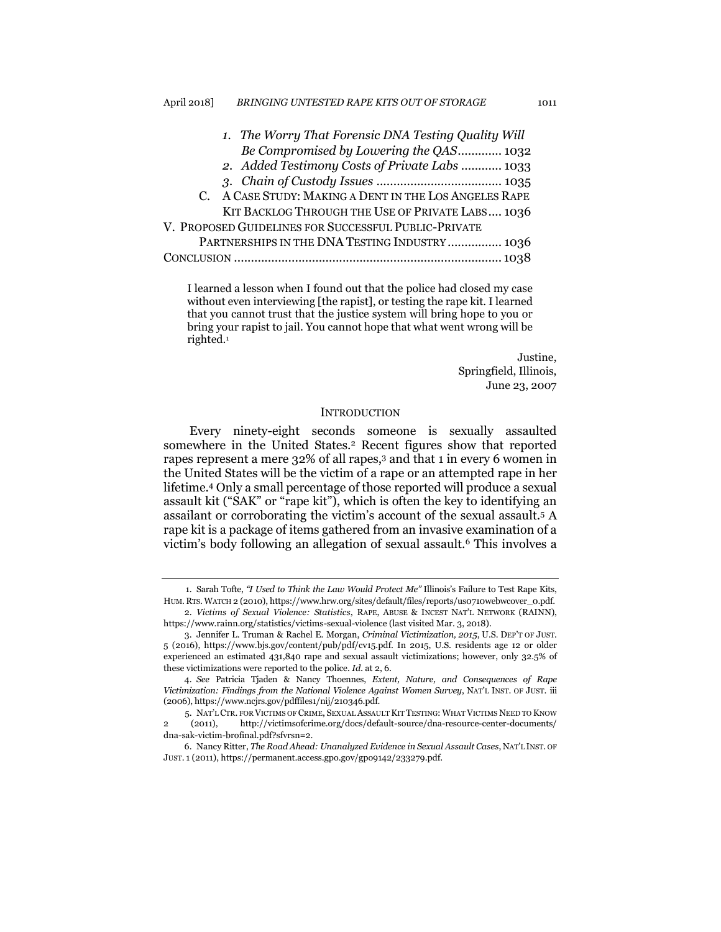| 1. The Worry That Forensic DNA Testing Quality Will    |
|--------------------------------------------------------|
| Be Compromised by Lowering the QAS 1032                |
| 2. Added Testimony Costs of Private Labs  1033         |
|                                                        |
| C. A CASE STUDY: MAKING A DENT IN THE LOS ANGELES RAPE |
| KIT BACKLOG THROUGH THE USE OF PRIVATE LABS 1036       |
| V. PROPOSED GUIDELINES FOR SUCCESSFUL PUBLIC-PRIVATE   |
| PARTNERSHIPS IN THE DNA TESTING INDUSTRY  1036         |
|                                                        |
|                                                        |

I learned a lesson when I found out that the police had closed my case without even interviewing [the rapist], or testing the rape kit. I learned that you cannot trust that the justice system will bring hope to you or bring your rapist to jail. You cannot hope that what went wrong will be righted.<sup>1</sup>

> Justine, Springfield, Illinois, June 23, 2007

#### **INTRODUCTION**

Every ninety-eight seconds someone is sexually assaulted somewhere in the United States.<sup>2</sup> Recent figures show that reported rapes represent a mere 32% of all rapes,<sup>3</sup> and that 1 in every 6 women in the United States will be the victim of a rape or an attempted rape in her lifetime.<sup>4</sup> Only a small percentage of those reported will produce a sexual assault kit ("SAK" or "rape kit"), which is often the key to identifying an assailant or corroborating the victim's account of the sexual assault.<sup>5</sup> A rape kit is a package of items gathered from an invasive examination of a victim's body following an allegation of sexual assault.<sup>6</sup> This involves a

<sup>1.</sup> Sarah Tofte, *"I Used to Think the Law Would Protect Me"* Illinois's Failure to Test Rape Kits, HUM. RTS. WATCH 2 (2010), https://www.hrw.org/sites/default/files/reports/us0710webwcover\_0.pdf.

<sup>2.</sup> *Victims of Sexual Violence: Statistics*, RAPE, ABUSE & INCEST NAT'L NETWORK (RAINN), https://www.rainn.org/statistics/victims-sexual-violence (last visited Mar. 3, 2018).

<sup>3.</sup> Jennifer L. Truman & Rachel E. Morgan, *Criminal Victimization, 2015*, U.S. DEP'T OF JUST. 5 (2016), https://www.bjs.gov/content/pub/pdf/cv15.pdf. In 2015, U.S. residents age 12 or older experienced an estimated 431,840 rape and sexual assault victimizations; however, only 32.5% of these victimizations were reported to the police. *Id.* at 2, 6.

<sup>4.</sup> *See* Patricia Tjaden & Nancy Thoennes, *Extent, Nature, and Consequences of Rape Victimization: Findings from the National Violence Against Women Survey*, NAT'L INST. OF JUST. iii (2006), https://www.ncjrs.gov/pdffiles1/nij/210346.pdf.

<sup>5.</sup> NAT'L CTR. FOR VICTIMS OF CRIME, SEXUAL ASSAULT KIT TESTING: WHAT VICTIMS NEED TO KNOW 2 (2011), http://victimsofcrime.org/docs/default-source/dna-resource-center-documents/ dna-sak-victim-brofinal.pdf?sfvrsn=2.

<sup>6.</sup> Nancy Ritter, *The Road Ahead: Unanalyzed Evidence in Sexual Assault Cases*, NAT'L INST. OF JUST. 1 (2011), https://permanent.access.gpo.gov/gpo9142/233279.pdf.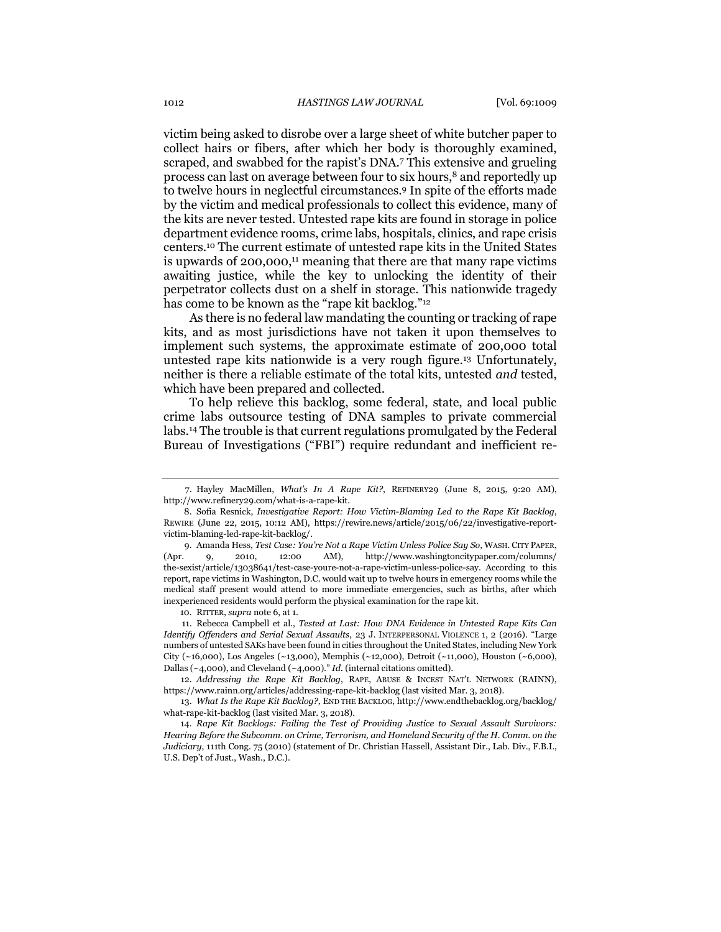<span id="page-3-0"></span>victim being asked to disrobe over a large sheet of white butcher paper to collect hairs or fibers, after which her body is thoroughly examined, scraped, and swabbed for the rapist's DNA.<sup>7</sup> This extensive and grueling process can last on average between four to six hours,<sup>8</sup> and reportedly up to twelve hours in neglectful circumstances.<sup>9</sup> In spite of the efforts made by the victim and medical professionals to collect this evidence, many of the kits are never tested. Untested rape kits are found in storage in police department evidence rooms, crime labs, hospitals, clinics, and rape crisis centers.<sup>10</sup> The current estimate of untested rape kits in the United States is upwards of 200,000, <sup>11</sup> meaning that there are that many rape victims awaiting justice, while the key to unlocking the identity of their perpetrator collects dust on a shelf in storage. This nationwide tragedy has come to be known as the "rape kit backlog."<sup>12</sup>

As there is no federal law mandating the counting or tracking of rape kits, and as most jurisdictions have not taken it upon themselves to implement such systems, the approximate estimate of 200,000 total untested rape kits nationwide is a very rough figure.<sup>13</sup> Unfortunately, neither is there a reliable estimate of the total kits, untested *and* tested, which have been prepared and collected.

To help relieve this backlog, some federal, state, and local public crime labs outsource testing of DNA samples to private commercial labs.<sup>14</sup> The trouble is that current regulations promulgated by the Federal Bureau of Investigations ("FBI") require redundant and inefficient re-

10. RITTER, *supra* note 6, at 1.

11. Rebecca Campbell et al., *Tested at Last: How DNA Evidence in Untested Rape Kits Can Identify Offenders and Serial Sexual Assaults*, 23 J. INTERPERSONAL VIOLENCE 1, 2 (2016). "Large numbers of untested SAKs have been found in cities throughout the United States, including New York City (~16,000), Los Angeles (~13,000), Memphis (~12,000), Detroit (~11,000), Houston (~6,000), Dallas (~4,000), and Cleveland (~4,000)." *Id.* (internal citations omitted)*.*

12. *Addressing the Rape Kit Backlog*, RAPE, ABUSE & INCEST NAT'L NETWORK (RAINN), https://www.rainn.org/articles/addressing-rape-kit-backlog (last visited Mar. 3, 2018).

13. *What Is the Rape Kit Backlog?*, END THE BACKLOG, http://www.endthebacklog.org/backlog/ what-rape-kit-backlog (last visited Mar. 3, 2018).

14. *Rape Kit Backlogs: Failing the Test of Providing Justice to Sexual Assault Survivors: Hearing Before the Subcomm. on Crime, Terrorism, and Homeland Security of the H. Comm. on the Judiciary*, 111th Cong. 75 (2010) (statement of Dr. Christian Hassell, Assistant Dir., Lab. Div., F.B.I., U.S. Dep't of Just., Wash., D.C.).

<sup>7.</sup> Hayley MacMillen, *What's In A Rape Kit?*, REFINERY29 (June 8, 2015, 9:20 AM), http://www.refinery29.com/what-is-a-rape-kit.

<sup>8.</sup> Sofia Resnick, *Investigative Report: How Victim-Blaming Led to the Rape Kit Backlog*, REWIRE (June 22, 2015, 10:12 AM), https://rewire.news/article/2015/06/22/investigative-reportvictim-blaming-led-rape-kit-backlog/.

<sup>9.</sup> Amanda Hess, *Test Case: You're Not a Rape Victim Unless Police Say So*, WASH. CITY PAPER, (Apr. 9, 2010, 12:00 AM), http://www.washingtoncitypaper.com/columns/ the-sexist/article/13038641/test-case-youre-not-a-rape-victim-unless-police-say. According to this report, rape victims in Washington, D.C. would wait up to twelve hours in emergency rooms while the medical staff present would attend to more immediate emergencies, such as births, after which inexperienced residents would perform the physical examination for the rape kit.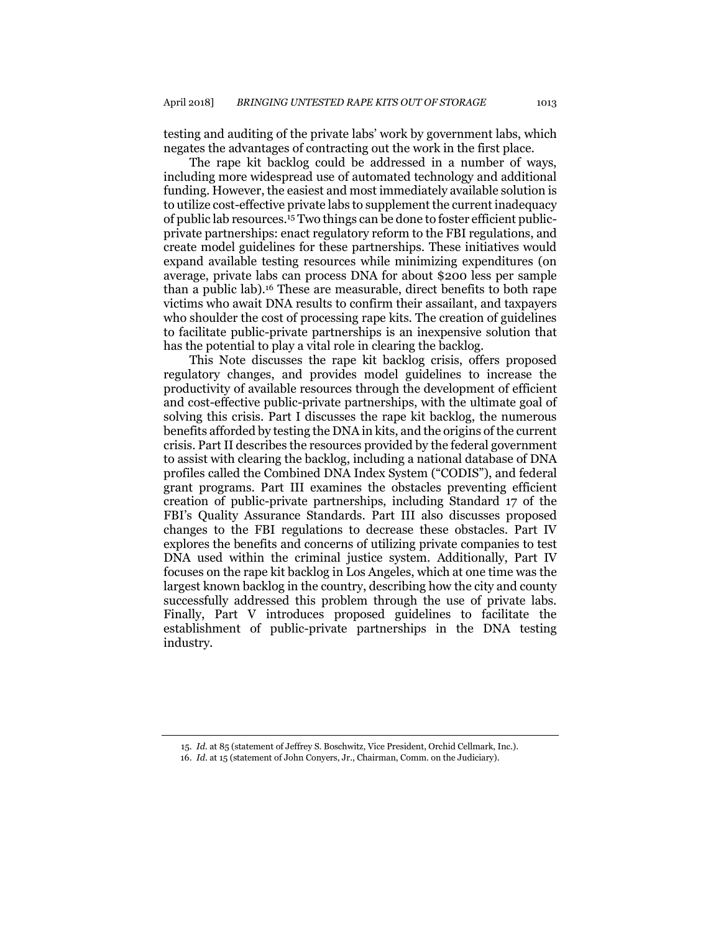testing and auditing of the private labs' work by government labs, which negates the advantages of contracting out the work in the first place.

The rape kit backlog could be addressed in a number of ways, including more widespread use of automated technology and additional funding. However, the easiest and most immediately available solution is to utilize cost-effective private labs to supplement the current inadequacy of public lab resources.<sup>15</sup> Two things can be done to foster efficient publicprivate partnerships: enact regulatory reform to the FBI regulations, and create model guidelines for these partnerships. These initiatives would expand available testing resources while minimizing expenditures (on average, private labs can process DNA for about \$200 less per sample than a public lab).<sup>16</sup> These are measurable, direct benefits to both rape victims who await DNA results to confirm their assailant, and taxpayers who shoulder the cost of processing rape kits. The creation of guidelines to facilitate public-private partnerships is an inexpensive solution that has the potential to play a vital role in clearing the backlog.

This Note discusses the rape kit backlog crisis, offers proposed regulatory changes, and provides model guidelines to increase the productivity of available resources through the development of efficient and cost-effective public-private partnerships, with the ultimate goal of solving this crisis. Part I discusses the rape kit backlog, the numerous benefits afforded by testing the DNA in kits, and the origins of the current crisis. Part II describes the resources provided by the federal government to assist with clearing the backlog, including a national database of DNA profiles called the Combined DNA Index System ("CODIS"), and federal grant programs. Part III examines the obstacles preventing efficient creation of public-private partnerships, including Standard 17 of the FBI's Quality Assurance Standards. Part III also discusses proposed changes to the FBI regulations to decrease these obstacles. Part IV explores the benefits and concerns of utilizing private companies to test DNA used within the criminal justice system. Additionally, Part IV focuses on the rape kit backlog in Los Angeles, which at one time was the largest known backlog in the country, describing how the city and county successfully addressed this problem through the use of private labs. Finally, Part V introduces proposed guidelines to facilitate the establishment of public-private partnerships in the DNA testing industry.

<sup>15.</sup> *Id.* at 85 (statement of Jeffrey S. Boschwitz, Vice President, Orchid Cellmark, Inc.).

<sup>16.</sup> *Id*. at 15 (statement of John Conyers, Jr., Chairman, Comm. on the Judiciary).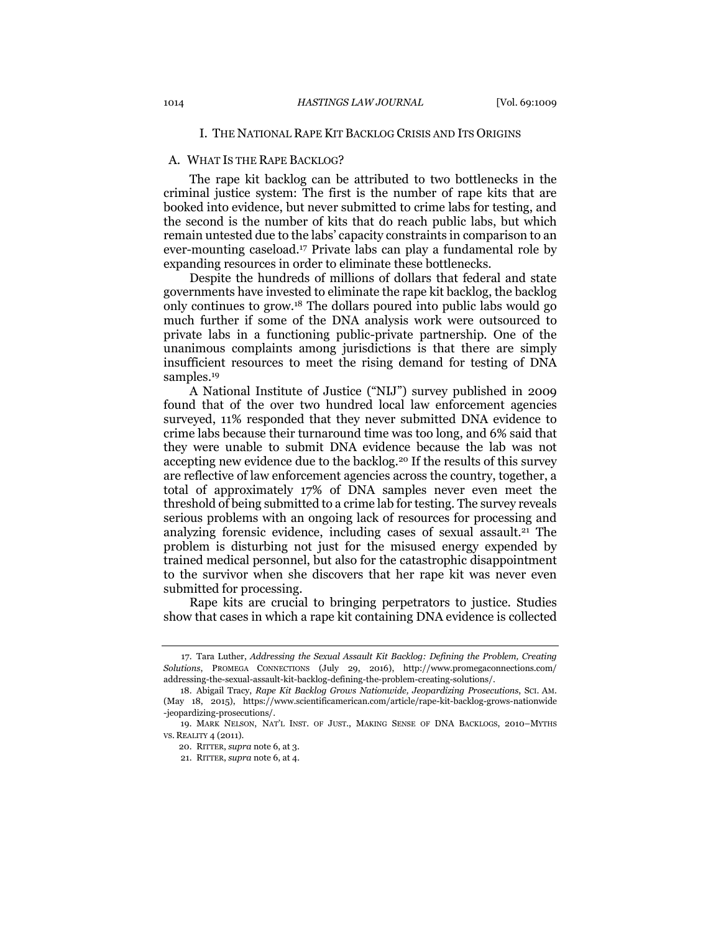#### I. THE NATIONAL RAPE KIT BACKLOG CRISIS AND ITS ORIGINS

#### A. WHAT IS THE RAPE BACKLOG?

The rape kit backlog can be attributed to two bottlenecks in the criminal justice system: The first is the number of rape kits that are booked into evidence, but never submitted to crime labs for testing, and the second is the number of kits that do reach public labs, but which remain untested due to the labs' capacity constraints in comparison to an ever-mounting caseload.<sup>17</sup> Private labs can play a fundamental role by expanding resources in order to eliminate these bottlenecks.

Despite the hundreds of millions of dollars that federal and state governments have invested to eliminate the rape kit backlog, the backlog only continues to grow.<sup>18</sup> The dollars poured into public labs would go much further if some of the DNA analysis work were outsourced to private labs in a functioning public-private partnership. One of the unanimous complaints among jurisdictions is that there are simply insufficient resources to meet the rising demand for testing of DNA samples.<sup>19</sup>

A National Institute of Justice ("NIJ") survey published in 2009 found that of the over two hundred local law enforcement agencies surveyed, 11% responded that they never submitted DNA evidence to crime labs because their turnaround time was too long, and 6% said that they were unable to submit DNA evidence because the lab was not accepting new evidence due to the backlog.<sup>20</sup> If the results of this survey are reflective of law enforcement agencies across the country, together, a total of approximately 17% of DNA samples never even meet the threshold of being submitted to a crime lab for testing. The survey reveals serious problems with an ongoing lack of resources for processing and analyzing forensic evidence, including cases of sexual assault.<sup>21</sup> The problem is disturbing not just for the misused energy expended by trained medical personnel, but also for the catastrophic disappointment to the survivor when she discovers that her rape kit was never even submitted for processing.

Rape kits are crucial to bringing perpetrators to justice. Studies show that cases in which a rape kit containing DNA evidence is collected

<sup>17.</sup> Tara Luther, *Addressing the Sexual Assault Kit Backlog: Defining the Problem, Creating Solutions*, PROMEGA CONNECTIONS (July 29, 2016), http://www.promegaconnections.com/ addressing-the-sexual-assault-kit-backlog-defining-the-problem-creating-solutions/.

<sup>18.</sup> Abigail Tracy, *Rape Kit Backlog Grows Nationwide, Jeopardizing Prosecutions*, SCI. AM. (May 18, 2015), https://www.scientificamerican.com/article/rape-kit-backlog-grows-nationwide -jeopardizing-prosecutions/.

<sup>19</sup>*.* MARK NELSON, NAT'L INST. OF JUST., MAKING SENSE OF DNA BACKLOGS, 2010–MYTHS VS. REALITY 4 (2011).

<sup>20.</sup> RITTER, *supra* note 6, at 3.

<sup>21.</sup> RITTER, *supra* note 6, at 4.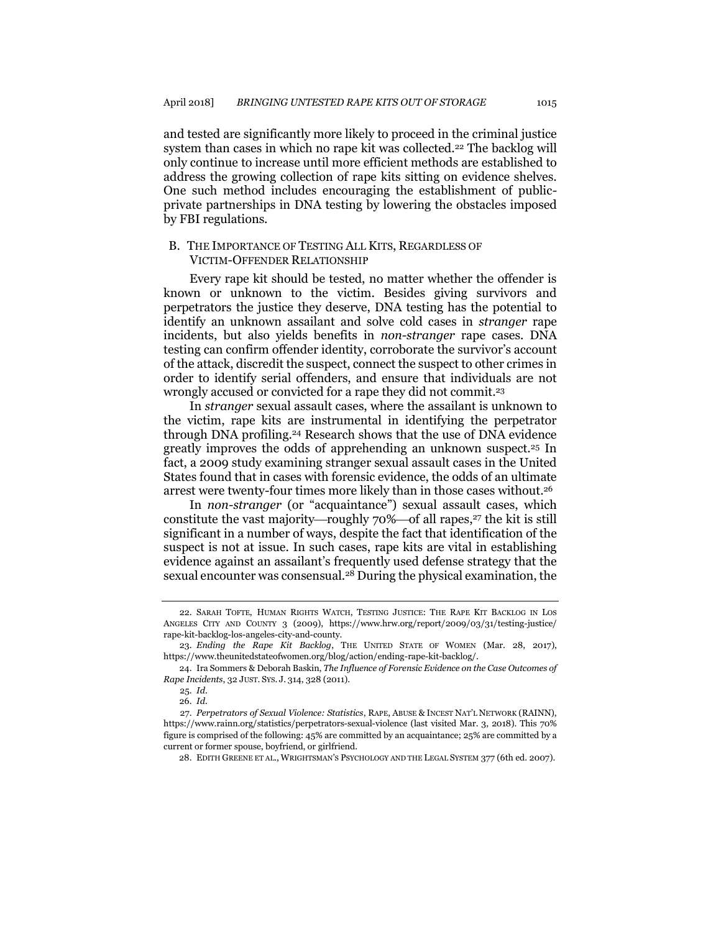<span id="page-6-0"></span>and tested are significantly more likely to proceed in the criminal justice system than cases in which no rape kit was collected.<sup>22</sup> The backlog will only continue to increase until more efficient methods are established to address the growing collection of rape kits sitting on evidence shelves. One such method includes encouraging the establishment of publicprivate partnerships in DNA testing by lowering the obstacles imposed by FBI regulations.

## B. THE IMPORTANCE OF TESTING ALL KITS, REGARDLESS OF VICTIM-OFFENDER RELATIONSHIP

Every rape kit should be tested, no matter whether the offender is known or unknown to the victim. Besides giving survivors and perpetrators the justice they deserve, DNA testing has the potential to identify an unknown assailant and solve cold cases in *stranger* rape incidents, but also yields benefits in *non-stranger* rape cases. DNA testing can confirm offender identity, corroborate the survivor's account of the attack, discredit the suspect, connect the suspect to other crimes in order to identify serial offenders, and ensure that individuals are not wrongly accused or convicted for a rape they did not commit.<sup>23</sup>

<span id="page-6-1"></span>In *stranger* sexual assault cases, where the assailant is unknown to the victim, rape kits are instrumental in identifying the perpetrator through DNA profiling.<sup>24</sup> Research shows that the use of DNA evidence greatly improves the odds of apprehending an unknown suspect.<sup>25</sup> In fact, a 2009 study examining stranger sexual assault cases in the United States found that in cases with forensic evidence, the odds of an ultimate arrest were twenty-four times more likely than in those cases without.<sup>26</sup>

In *non-stranger* (or "acquaintance") sexual assault cases, which constitute the vast majority—roughly  $70\%$ —of all rapes,<sup>27</sup> the kit is still significant in a number of ways, despite the fact that identification of the suspect is not at issue. In such cases, rape kits are vital in establishing evidence against an assailant's frequently used defense strategy that the sexual encounter was consensual.<sup>28</sup> During the physical examination, the

<sup>22.</sup> SARAH TOFTE, HUMAN RIGHTS WATCH, TESTING JUSTICE: THE RAPE KIT BACKLOG IN LOS ANGELES CITY AND COUNTY 3 (2009), https://www.hrw.org/report/2009/03/31/testing-justice/ rape-kit-backlog-los-angeles-city-and-county.

<sup>23.</sup> *Ending the Rape Kit Backlog*, THE UNITED STATE OF WOMEN (Mar. 28, 2017), https://www.theunitedstateofwomen.org/blog/action/ending-rape-kit-backlog/.

<sup>24.</sup> Ira Sommers & Deborah Baskin, *The Influence of Forensic Evidence on the Case Outcomes of Rape Incidents*, 32 JUST. SYS. J. 314, 328 (2011).

<sup>25.</sup> *Id.*

<sup>26.</sup> *Id.*

<sup>27.</sup> *Perpetrators of Sexual Violence: Statistics*, RAPE, ABUSE & INCEST NAT'L NETWORK (RAINN), https://www.rainn.org/statistics/perpetrators-sexual-violence (last visited Mar. 3, 2018). This 70% figure is comprised of the following: 45% are committed by an acquaintance; 25% are committed by a current or former spouse, boyfriend, or girlfriend.

<sup>28.</sup> EDITH GREENE ET AL., WRIGHTSMAN'S PSYCHOLOGY AND THE LEGAL SYSTEM 377 (6th ed. 2007).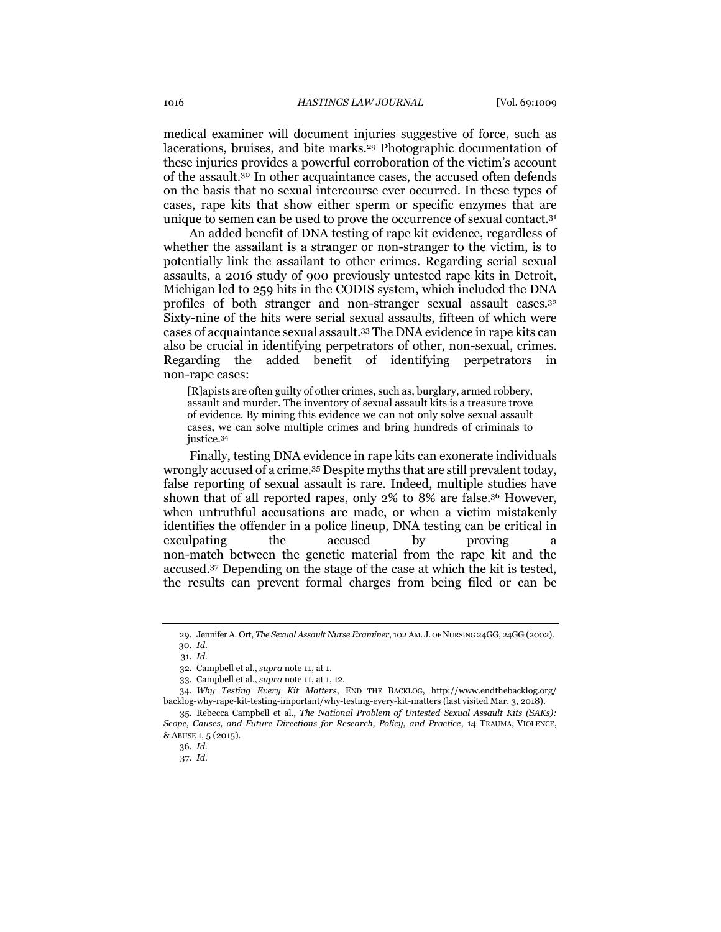medical examiner will document injuries suggestive of force, such as lacerations, bruises, and bite marks.<sup>29</sup> Photographic documentation of these injuries provides a powerful corroboration of the victim's account of the assault.<sup>30</sup> In other acquaintance cases, the accused often defends on the basis that no sexual intercourse ever occurred. In these types of cases, rape kits that show either sperm or specific enzymes that are unique to semen can be used to prove the occurrence of sexual contact.<sup>31</sup>

An added benefit of DNA testing of rape kit evidence, regardless of whether the assailant is a stranger or non-stranger to the victim, is to potentially link the assailant to other crimes. Regarding serial sexual assaults, a 2016 study of 900 previously untested rape kits in Detroit, Michigan led to 259 hits in the CODIS system, which included the DNA profiles of both stranger and non-stranger sexual assault cases.<sup>32</sup> Sixty-nine of the hits were serial sexual assaults, fifteen of which were cases of acquaintance sexual assault.<sup>33</sup> The DNA evidence in rape kits can also be crucial in identifying perpetrators of other, non-sexual, crimes. Regarding the added benefit of identifying perpetrators in non-rape cases:

[R]apists are often guilty of other crimes, such as, burglary, armed robbery, assault and murder. The inventory of sexual assault kits is a treasure trove of evidence. By mining this evidence we can not only solve sexual assault cases, we can solve multiple crimes and bring hundreds of criminals to justice.<sup>34</sup>

<span id="page-7-0"></span>Finally, testing DNA evidence in rape kits can exonerate individuals wrongly accused of a crime.<sup>35</sup> Despite myths that are still prevalent today, false reporting of sexual assault is rare. Indeed, multiple studies have shown that of all reported rapes, only 2% to 8% are false.<sup>36</sup> However, when untruthful accusations are made, or when a victim mistakenly identifies the offender in a police lineup, DNA testing can be critical in exculpating the accused by proving a non-match between the genetic material from the rape kit and the accused.<sup>37</sup> Depending on the stage of the case at which the kit is tested, the results can prevent formal charges from being filed or can be

<sup>29.</sup> Jennifer A. Ort, *The Sexual Assault Nurse Examiner*, 102 AM. J. OF NURSING 24GG,24GG (2002). 30. *Id.*

<sup>31.</sup> *Id.*

<sup>32.</sup> Campbell et al., *supra* note 11, at 1.

<sup>33</sup>*.* Campbell et al., *supra* note 11, at 1, 12.

<sup>34.</sup> *Why Testing Every Kit Matters*, END THE BACKLOG, http://www.endthebacklog.org/ backlog-why-rape-kit-testing-important/why-testing-every-kit-matters (last visited Mar. 3, 2018).

<sup>35.</sup> Rebecca Campbell et al., *The National Problem of Untested Sexual Assault Kits (SAKs): Scope, Causes, and Future Directions for Research, Policy, and Practice*, 14 TRAUMA, VIOLENCE, & ABUSE 1, 5 (2015).

<sup>36.</sup> *Id.* 

<sup>37.</sup> *Id.*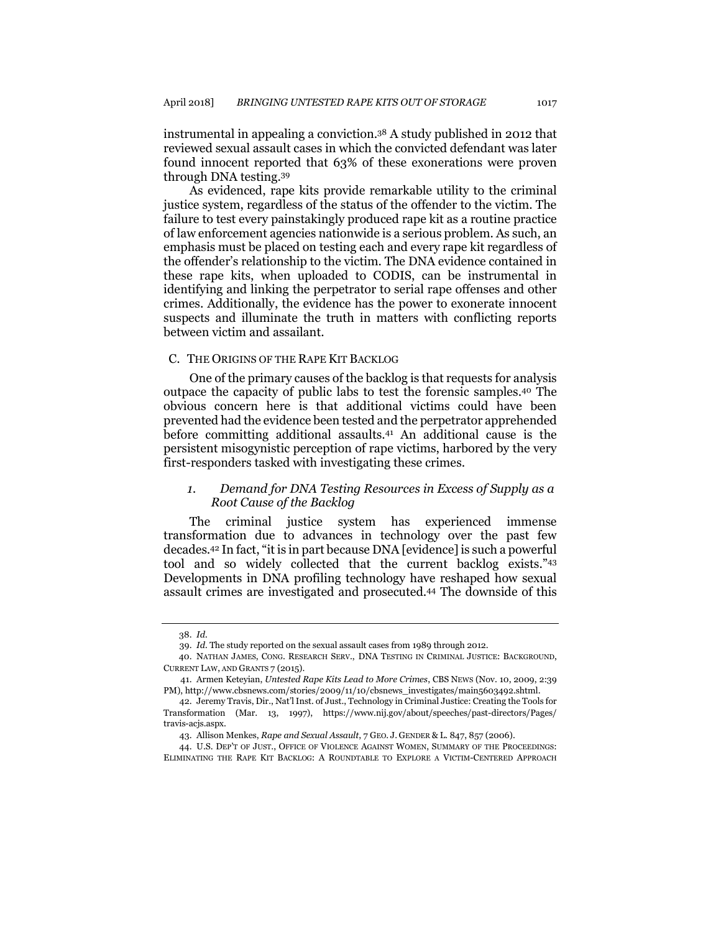instrumental in appealing a conviction.<sup>38</sup> A study published in 2012 that reviewed sexual assault cases in which the convicted defendant was later found innocent reported that 63% of these exonerations were proven through DNA testing.<sup>39</sup>

As evidenced, rape kits provide remarkable utility to the criminal justice system, regardless of the status of the offender to the victim. The failure to test every painstakingly produced rape kit as a routine practice of law enforcement agencies nationwide is a serious problem. As such, an emphasis must be placed on testing each and every rape kit regardless of the offender's relationship to the victim. The DNA evidence contained in these rape kits, when uploaded to CODIS, can be instrumental in identifying and linking the perpetrator to serial rape offenses and other crimes. Additionally, the evidence has the power to exonerate innocent suspects and illuminate the truth in matters with conflicting reports between victim and assailant.

#### C. THE ORIGINS OF THE RAPE KIT BACKLOG

One of the primary causes of the backlog is that requests for analysis outpace the capacity of public labs to test the forensic samples.<sup>40</sup> The obvious concern here is that additional victims could have been prevented had the evidence been tested and the perpetrator apprehended before committing additional assaults.<sup>41</sup> An additional cause is the persistent misogynistic perception of rape victims, harbored by the very first-responders tasked with investigating these crimes.

## <span id="page-8-0"></span>*1. Demand for DNA Testing Resources in Excess of Supply as a Root Cause of the Backlog*

The criminal justice system has experienced immense transformation due to advances in technology over the past few decades.<sup>42</sup> In fact, "it is in part because DNA [evidence]is such a powerful tool and so widely collected that the current backlog exists."<sup>43</sup> Developments in DNA profiling technology have reshaped how sexual assault crimes are investigated and prosecuted.<sup>44</sup> The downside of this

44. U.S. DEP'T OF JUST., OFFICE OF VIOLENCE AGAINST WOMEN, SUMMARY OF THE PROCEEDINGS: ELIMINATING THE RAPE KIT BACKLOG: A ROUNDTABLE TO EXPLORE A VICTIM-CENTERED APPROACH

<sup>38.</sup> *Id.*

<sup>39.</sup> *Id.* The study reported on the sexual assault cases from 1989 through 2012.

<sup>40.</sup> NATHAN JAMES, CONG. RESEARCH SERV., DNA TESTING IN CRIMINAL JUSTICE: BACKGROUND, CURRENT LAW, AND GRANTS 7 (2015).

<sup>41.</sup> Armen Keteyian, *Untested Rape Kits Lead to More Crimes*, CBS NEWS (Nov. 10, 2009, 2:39 PM), http://www.cbsnews.com/stories/2009/11/10/cbsnews\_investigates/main5603492.shtml.

<sup>42.</sup> Jeremy Travis, Dir., Nat'l Inst. of Just., Technology in Criminal Justice: Creating the Tools for Transformation (Mar. 13, 1997), https://www.nij.gov/about/speeches/past-directors/Pages/ travis-acjs.aspx.

<sup>43.</sup> Allison Menkes, *Rape and Sexual Assault*, 7 GEO. J. GENDER & L. 847, 857 (2006).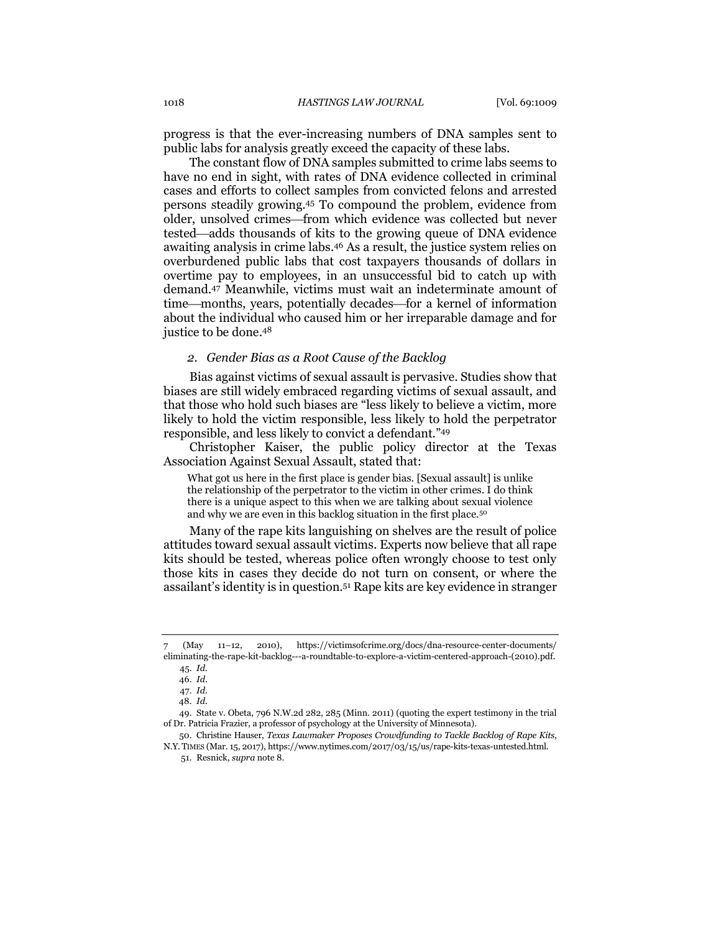progress is that the ever-increasing numbers of DNA samples sent to public labs for analysis greatly exceed the capacity of these labs.

The constant flow of DNA samples submitted to crime labs seems to have no end in sight, with rates of DNA evidence collected in criminal cases and efforts to collect samples from convicted felons and arrested persons steadily growing.<sup>45</sup> To compound the problem, evidence from older, unsolved crimes—from which evidence was collected but never tested—adds thousands of kits to the growing queue of DNA evidence awaiting analysis in crime labs.<sup>46</sup> As a result, the justice system relies on overburdened public labs that cost taxpayers thousands of dollars in overtime pay to employees, in an unsuccessful bid to catch up with demand.<sup>47</sup> Meanwhile, victims must wait an indeterminate amount of time—months, years, potentially decades—for a kernel of information about the individual who caused him or her irreparable damage and for justice to be done.<sup>48</sup>

#### *2. Gender Bias as a Root Cause of the Backlog*

Bias against victims of sexual assault is pervasive. Studies show that biases are still widely embraced regarding victims of sexual assault, and that those who hold such biases are "less likely to believe a victim, more likely to hold the victim responsible, less likely to hold the perpetrator responsible, and less likely to convict a defendant."<sup>49</sup>

Christopher Kaiser, the public policy director at the Texas Association Against Sexual Assault, stated that:

What got us here in the first place is gender bias. [Sexual assault] is unlike the relationship of the perpetrator to the victim in other crimes. I do think there is a unique aspect to this when we are talking about sexual violence and why we are even in this backlog situation in the first place.<sup>50</sup>

Many of the rape kits languishing on shelves are the result of police attitudes toward sexual assault victims. Experts now believe that all rape kits should be tested, whereas police often wrongly choose to test only those kits in cases they decide do not turn on consent, or where the assailant's identity is in question.<sup>51</sup> Rape kits are key evidence in stranger

<sup>7</sup> (May 11–12, 2010), https://victimsofcrime.org/docs/dna-resource-center-documents/ eliminating-the-rape-kit-backlog---a-roundtable-to-explore-a-victim-centered-approach-(2010).pdf. 45. *Id.*

<sup>46.</sup> *Id.*

<sup>47.</sup> *Id.*

<sup>48.</sup> *Id.*

<sup>49.</sup> State v. Obeta, 796 N.W.2d 282, 285 (Minn. 2011) (quoting the expert testimony in the trial of Dr. Patricia Frazier, a professor of psychology at the University of Minnesota).

<sup>50.</sup> Christine Hauser, *Texas Lawmaker Proposes Crowdfunding to Tackle Backlog of Rape Kits*, N.Y. TIMES (Mar. 15, 2017), https://www.nytimes.com/2017/03/15/us/rape-kits-texas-untested.html. 51. Resnick, *supra* note 8.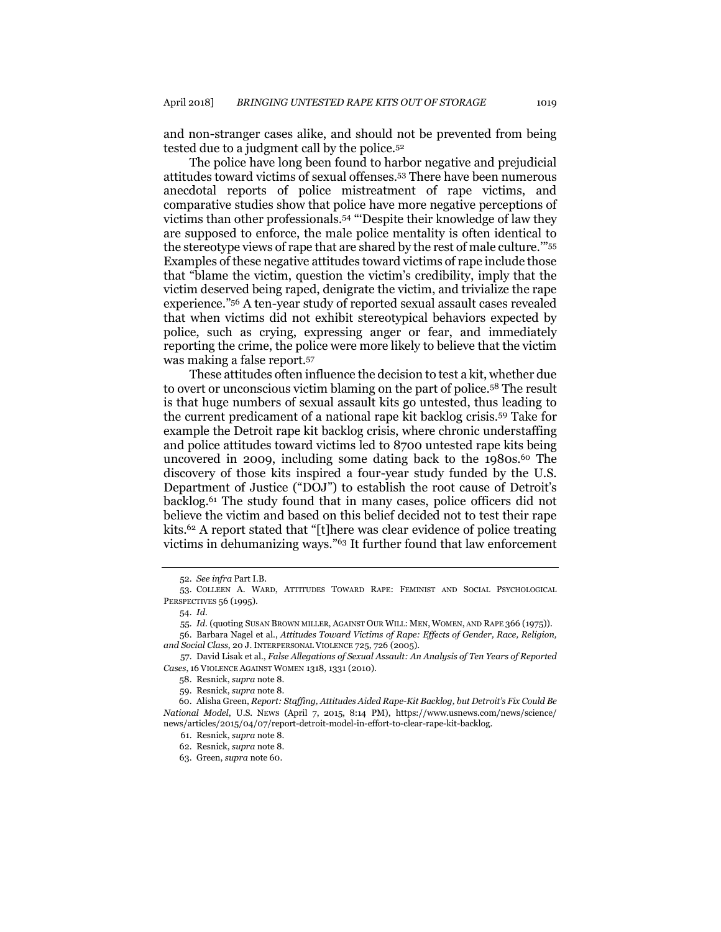and non-stranger cases alike, and should not be prevented from being tested due to a judgment call by the police.<sup>52</sup>

The police have long been found to harbor negative and prejudicial attitudes toward victims of sexual offenses.<sup>53</sup> There have been numerous anecdotal reports of police mistreatment of rape victims, and comparative studies show that police have more negative perceptions of victims than other professionals.<sup>54</sup> "'Despite their knowledge of law they are supposed to enforce, the male police mentality is often identical to the stereotype views of rape that are shared by the rest of male culture.'"<sup>55</sup> Examples of these negative attitudes toward victims of rape include those that "blame the victim, question the victim's credibility, imply that the victim deserved being raped, denigrate the victim, and trivialize the rape experience."<sup>56</sup> A ten-year study of reported sexual assault cases revealed that when victims did not exhibit stereotypical behaviors expected by police, such as crying, expressing anger or fear, and immediately reporting the crime, the police were more likely to believe that the victim was making a false report.<sup>57</sup>

These attitudes often influence the decision to test a kit, whether due to overt or unconscious victim blaming on the part of police.<sup>58</sup> The result is that huge numbers of sexual assault kits go untested, thus leading to the current predicament of a national rape kit backlog crisis.<sup>59</sup> Take for example the Detroit rape kit backlog crisis, where chronic understaffing and police attitudes toward victims led to 8700 untested rape kits being uncovered in 2009, including some dating back to the  $1980s^{60}$ . The discovery of those kits inspired a four-year study funded by the U.S. Department of Justice ("DOJ") to establish the root cause of Detroit's backlog.<sup>61</sup> The study found that in many cases, police officers did not believe the victim and based on this belief decided not to test their rape kits.<sup>62</sup> A report stated that "[t]here was clear evidence of police treating victims in dehumanizing ways."<sup>63</sup> It further found that law enforcement

<sup>52.</sup> *See infra* Part I.B.

<sup>53.</sup> COLLEEN A. WARD, ATTITUDES TOWARD RAPE: FEMINIST AND SOCIAL PSYCHOLOGICAL PERSPECTIVES 56 (1995).

<sup>54.</sup> *Id.*

<sup>55.</sup> *Id.* (quoting SUSAN BROWN MILLER, AGAINST OUR WILL: MEN, WOMEN, AND RAPE 366 (1975)).

<sup>56.</sup> Barbara Nagel et al., *Attitudes Toward Victims of Rape: Effects of Gender, Race, Religion, and Social Class*, 20 J.INTERPERSONAL VIOLENCE 725, 726 (2005).

<sup>57.</sup> David Lisak et al., *False Allegations of Sexual Assault: An Analysis of Ten Years of Reported Cases*, 16 VIOLENCE AGAINST WOMEN 1318, 1331 (2010).

<sup>58.</sup> Resnick, *supra* note 8.

<sup>59.</sup> Resnick, *supra* note 8.

<sup>60.</sup> Alisha Green, *Report: Staffing, Attitudes Aided Rape-Kit Backlog, but Detroit's Fix Could Be National Model*, U.S. NEWS (April 7, 2015, 8:14 PM), https://www.usnews.com/news/science/ news/articles/2015/04/07/report-detroit-model-in-effort-to-clear-rape-kit-backlog.

<sup>61.</sup> Resnick, *supra* note 8.

<sup>62.</sup> Resnick, *supra* note 8.

<sup>63.</sup> Green, *supra* note 60.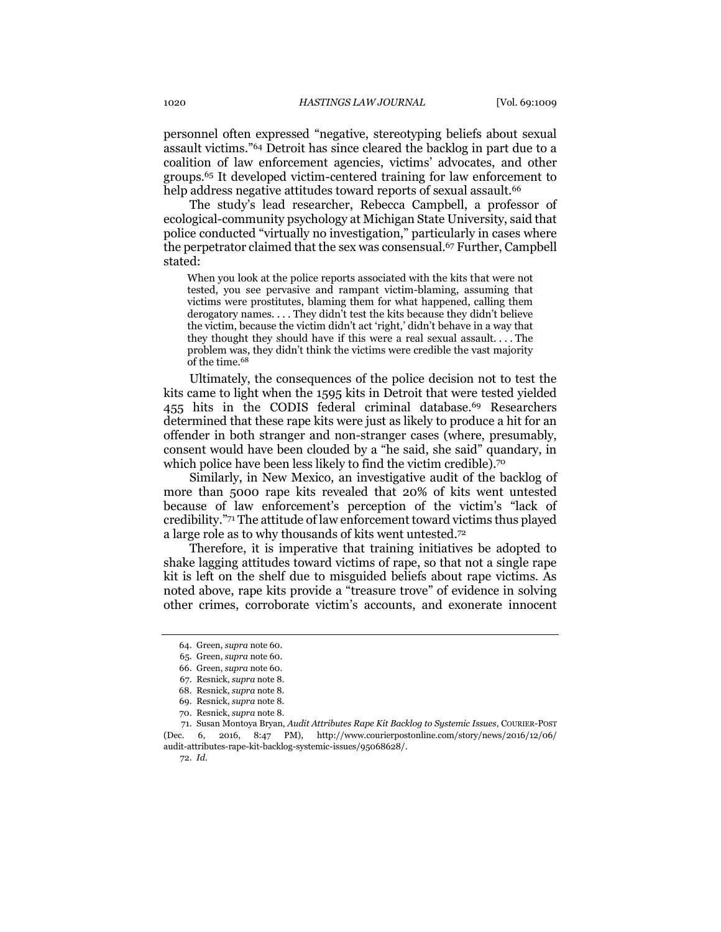personnel often expressed "negative, stereotyping beliefs about sexual assault victims."<sup>64</sup> Detroit has since cleared the backlog in part due to a coalition of law enforcement agencies, victims' advocates, and other groups.<sup>65</sup> It developed victim-centered training for law enforcement to help address negative attitudes toward reports of sexual assault.<sup>66</sup>

The study's lead researcher, Rebecca Campbell, a professor of ecological-community psychology at Michigan State University, said that police conducted "virtually no investigation," particularly in cases where the perpetrator claimed that the sex was consensual.<sup>67</sup> Further, Campbell stated:

When you look at the police reports associated with the kits that were not tested, you see pervasive and rampant victim-blaming, assuming that victims were prostitutes, blaming them for what happened, calling them derogatory names. . . . They didn't test the kits because they didn't believe the victim, because the victim didn't act 'right,' didn't behave in a way that they thought they should have if this were a real sexual assault. . . . The problem was, they didn't think the victims were credible the vast majority of the time.<sup>68</sup>

Ultimately, the consequences of the police decision not to test the kits came to light when the 1595 kits in Detroit that were tested yielded 455 hits in the CODIS federal criminal database.<sup>69</sup> Researchers determined that these rape kits were just as likely to produce a hit for an offender in both stranger and non-stranger cases (where, presumably, consent would have been clouded by a "he said, she said" quandary, in which police have been less likely to find the victim credible).<sup>70</sup>

Similarly, in New Mexico, an investigative audit of the backlog of more than 5000 rape kits revealed that 20% of kits went untested because of law enforcement's perception of the victim's "lack of credibility."<sup>71</sup> The attitude of law enforcement toward victims thus played a large role as to why thousands of kits went untested.<sup>72</sup>

Therefore, it is imperative that training initiatives be adopted to shake lagging attitudes toward victims of rape, so that not a single rape kit is left on the shelf due to misguided beliefs about rape victims. As noted above, rape kits provide a "treasure trove" of evidence in solving other crimes, corroborate victim's accounts, and exonerate innocent

72. *Id.*

<sup>64.</sup> Green, *supra* note 60.

<sup>65.</sup> Green, *supra* note 60.

<sup>66.</sup> Green, *supra* note 60.

<sup>67.</sup> Resnick, *supra* not[e 8.](#page-3-0) 68. Resnick, *supra* not[e 8.](#page-3-0)

<sup>69.</sup> Resnick, *supra* not[e 8.](#page-3-0)

<sup>70.</sup> Resnick, *supra* not[e 8.](#page-3-0)

<sup>71.</sup> Susan Montoya Bryan, *Audit Attributes Rape Kit Backlog to Systemic Issues*, COURIER-POST (Dec. 6, 2016, 8:47 PM), http://www.courierpostonline.com/story/news/2016/12/06/ audit-attributes-rape-kit-backlog-systemic-issues/95068628/.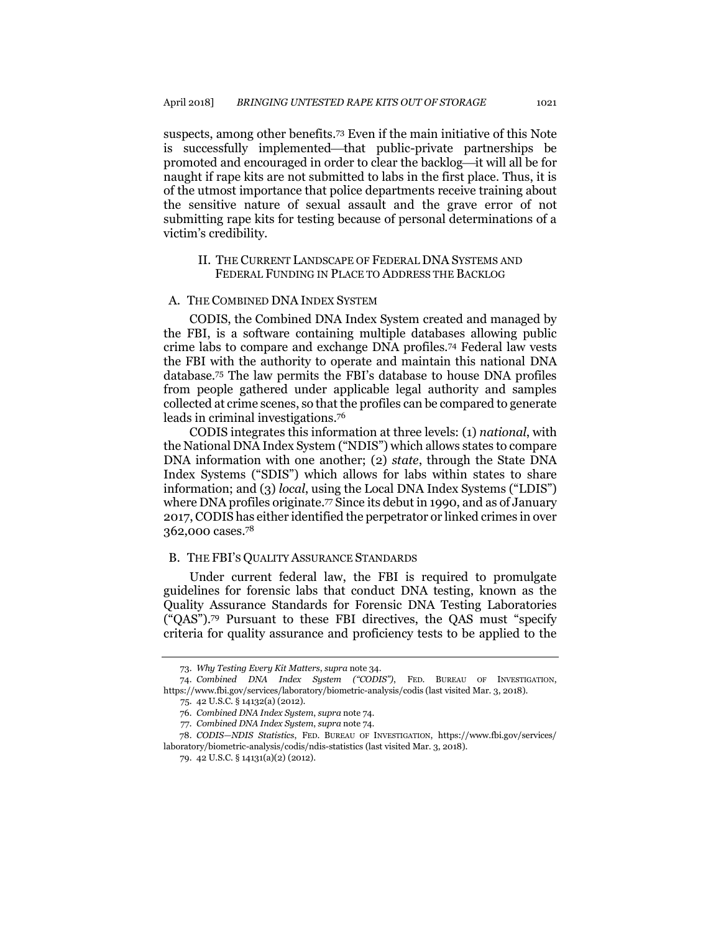suspects, among other benefits.<sup>73</sup> Even if the main initiative of this Note is successfully implemented—that public-private partnerships be promoted and encouraged in order to clear the backlog—it will all be for naught if rape kits are not submitted to labs in the first place. Thus, it is of the utmost importance that police departments receive training about the sensitive nature of sexual assault and the grave error of not submitting rape kits for testing because of personal determinations of a victim's credibility.

#### <span id="page-12-0"></span>II. THE CURRENT LANDSCAPE OF FEDERAL DNA SYSTEMS AND FEDERAL FUNDING IN PLACE TO ADDRESS THE BACKLOG

#### A. THE COMBINED DNA INDEX SYSTEM

CODIS, the Combined DNA Index System created and managed by the FBI, is a software containing multiple databases allowing public crime labs to compare and exchange DNA profiles.<sup>74</sup> Federal law vests the FBI with the authority to operate and maintain this national DNA database.<sup>75</sup> The law permits the FBI's database to house DNA profiles from people gathered under applicable legal authority and samples collected at crime scenes, so that the profiles can be compared to generate leads in criminal investigations.<sup>76</sup>

CODIS integrates this information at three levels: (1) *national*, with the National DNA Index System ("NDIS") which allows states to compare DNA information with one another; (2) *state*, through the State DNA Index Systems ("SDIS") which allows for labs within states to share information; and (3) *local*, using the Local DNA Index Systems ("LDIS") where DNA profiles originate.<sup>77</sup> Since its debut in 1990, and as of January 2017, CODIS has either identified the perpetrator or linked crimes in over 362,000 cases.<sup>78</sup>

#### B. THE FBI'S QUALITY ASSURANCE STANDARDS

Under current federal law, the FBI is required to promulgate guidelines for forensic labs that conduct DNA testing, known as the Quality Assurance Standards for Forensic DNA Testing Laboratories ("QAS").<sup>79</sup> Pursuant to these FBI directives, the QAS must "specify criteria for quality assurance and proficiency tests to be applied to the

<sup>73.</sup> *Why Testing Every Kit Matters*, *supra* not[e 34.](#page-7-0)

<sup>74.</sup> *Combined DNA Index System ("CODIS")*, FED. BUREAU OF INVESTIGATION, https://www.fbi.gov/services/laboratory/biometric-analysis/codis (last visited Mar. 3, 2018).

<sup>75.</sup> 42 U.S.C. § 14132(a) (2012).

<sup>76</sup>*. Combined DNA Index System*, *supra* not[e 74.](#page-12-0)

<sup>77</sup>*. Combined DNA Index System*, *supra* not[e 74.](#page-12-0)

<sup>78.</sup> *CODIS—NDIS Statistics*, FED. BUREAU OF INVESTIGATION, https://www.fbi.gov/services/ laboratory/biometric-analysis/codis/ndis-statistics (last visited Mar. 3, 2018).

<sup>79.</sup> 42 U.S.C. § 14131(a)(2) (2012).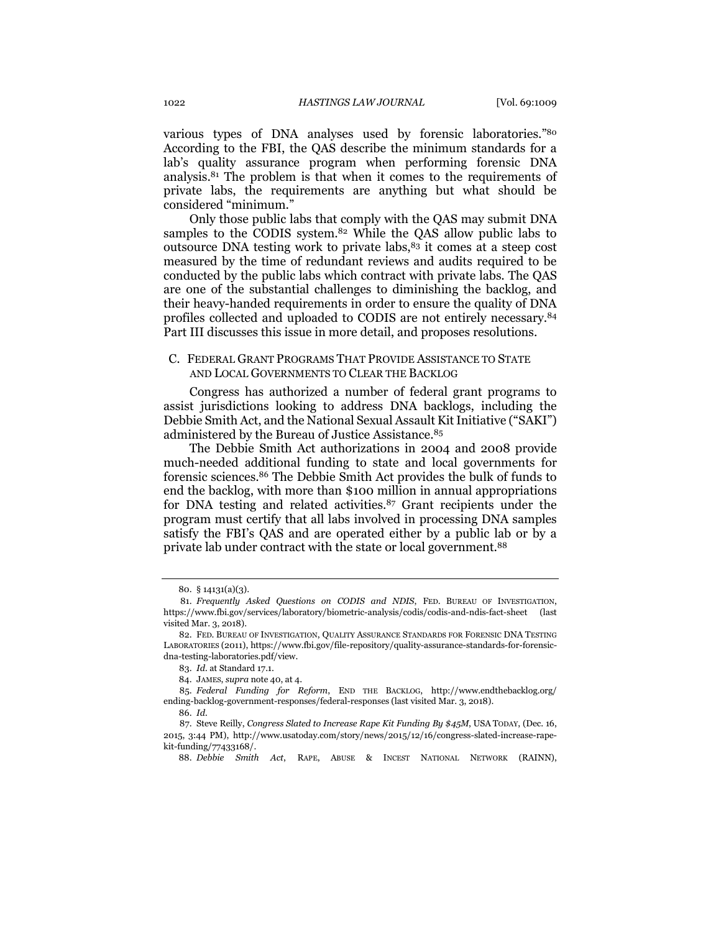various types of DNA analyses used by forensic laboratories."<sup>80</sup> According to the FBI, the QAS describe the minimum standards for a lab's quality assurance program when performing forensic DNA analysis.<sup>81</sup> The problem is that when it comes to the requirements of private labs, the requirements are anything but what should be considered "minimum."

<span id="page-13-0"></span>Only those public labs that comply with the QAS may submit DNA samples to the CODIS system.<sup>82</sup> While the QAS allow public labs to outsource DNA testing work to private labs, $83$  it comes at a steep cost measured by the time of redundant reviews and audits required to be conducted by the public labs which contract with private labs. The QAS are one of the substantial challenges to diminishing the backlog, and their heavy-handed requirements in order to ensure the quality of DNA profiles collected and uploaded to CODIS are not entirely necessary.<sup>84</sup> Part III discusses this issue in more detail, and proposes resolutions.

### C. FEDERAL GRANT PROGRAMS THAT PROVIDE ASSISTANCE TO STATE AND LOCAL GOVERNMENTS TO CLEAR THE BACKLOG

Congress has authorized a number of federal grant programs to assist jurisdictions looking to address DNA backlogs, including the Debbie Smith Act, and the National Sexual Assault Kit Initiative ("SAKI") administered by the Bureau of Justice Assistance.<sup>85</sup>

The Debbie Smith Act authorizations in 2004 and 2008 provide much-needed additional funding to state and local governments for forensic sciences.<sup>86</sup> The Debbie Smith Act provides the bulk of funds to end the backlog, with more than \$100 million in annual appropriations for DNA testing and related activities.<sup>87</sup> Grant recipients under the program must certify that all labs involved in processing DNA samples satisfy the FBI's QAS and are operated either by a public lab or by a private lab under contract with the state or local government.<sup>88</sup>

<sup>80.</sup> § 14131(a)(3).

<sup>81.</sup> *Frequently Asked Questions on CODIS and NDIS*, FED. BUREAU OF INVESTIGATION, https://www.fbi.gov/services/laboratory/biometric-analysis/codis/codis-and-ndis-fact-sheet (last visited Mar. 3, 2018).

<sup>82.</sup> FED. BUREAU OF INVESTIGATION, QUALITY ASSURANCE STANDARDS FOR FORENSIC DNA TESTING LABORATORIES (2011), https://www.fbi.gov/file-repository/quality-assurance-standards-for-forensicdna-testing-laboratories.pdf/view.

<sup>83.</sup> *Id.* at Standard 17.1.

<sup>84.</sup> JAMES, *supra* not[e 40,](#page-8-0) at 4.

<sup>85.</sup> *Federal Funding for Reform*, END THE BACKLOG, http://www.endthebacklog.org/ ending-backlog-government-responses/federal-responses (last visited Mar. 3, 2018).

<sup>86.</sup> *Id.*

<sup>87.</sup> Steve Reilly, *Congress Slated to Increase Rape Kit Funding By \$45M*, USA TODAY, (Dec. 16, 2015, 3:44 PM), http://www.usatoday.com/story/news/2015/12/16/congress-slated-increase-rapekit-funding/77433168/.

<sup>88.</sup> *Debbie Smith Act*, RAPE, ABUSE & INCEST NATIONAL NETWORK (RAINN),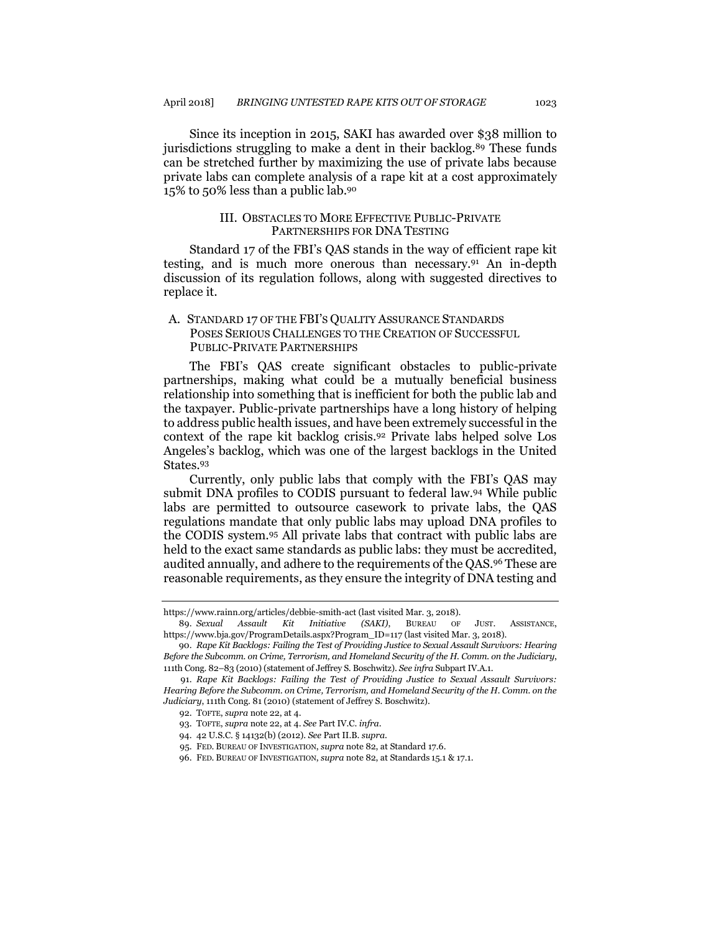Since its inception in 2015, SAKI has awarded over \$38 million to jurisdictions struggling to make a dent in their backlog.<sup>89</sup> These funds can be stretched further by maximizing the use of private labs because private labs can complete analysis of a rape kit at a cost approximately 15% to 50% less than a public lab.<sup>90</sup>

#### III. OBSTACLES TO MORE EFFECTIVE PUBLIC-PRIVATE PARTNERSHIPS FOR DNA TESTING

Standard 17 of the FBI's QAS stands in the way of efficient rape kit testing, and is much more onerous than necessary.<sup>91</sup> An in-depth discussion of its regulation follows, along with suggested directives to replace it.

## A. STANDARD 17 OF THE FBI'S QUALITY ASSURANCE STANDARDS POSES SERIOUS CHALLENGES TO THE CREATION OF SUCCESSFUL PUBLIC-PRIVATE PARTNERSHIPS

The FBI's QAS create significant obstacles to public-private partnerships, making what could be a mutually beneficial business relationship into something that is inefficient for both the public lab and the taxpayer. Public-private partnerships have a long history of helping to address public health issues, and have been extremely successful in the context of the rape kit backlog crisis.<sup>92</sup> Private labs helped solve Los Angeles's backlog, which was one of the largest backlogs in the United States.<sup>93</sup>

Currently, only public labs that comply with the FBI's QAS may submit DNA profiles to CODIS pursuant to federal law.<sup>94</sup> While public labs are permitted to outsource casework to private labs, the QAS regulations mandate that only public labs may upload DNA profiles to the CODIS system.<sup>95</sup> All private labs that contract with public labs are held to the exact same standards as public labs: they must be accredited, audited annually, and adhere to the requirements of the QAS.<sup>96</sup> These are reasonable requirements, as they ensure the integrity of DNA testing and

https://www.rainn.org/articles/debbie-smith-act (last visited Mar. 3, 2018).

<sup>89.</sup> *Sexual Assault Kit Initiative (SAKI)*, BUREAU OF JUST. ASSISTANCE, https://www.bja.gov/ProgramDetails.aspx?Program\_ID=117 (last visited Mar. 3, 2018).

<sup>90.</sup> *Rape Kit Backlogs: Failing the Test of Providing Justice to Sexual Assault Survivors: Hearing Before the Subcomm. on Crime, Terrorism, and Homeland Security of the H. Comm. on the Judiciary*, 111th Cong. 82–83 (2010) (statement of Jeffrey S. Boschwitz). *See infra* Subpart IV.A.1.

<sup>91.</sup> *Rape Kit Backlogs: Failing the Test of Providing Justice to Sexual Assault Survivors: Hearing Before the Subcomm. on Crime, Terrorism, and Homeland Security of the H. Comm. on the Judiciary*, 111th Cong. 81 (2010) (statement of Jeffrey S. Boschwitz).

<sup>92.</sup> TOFTE, *supra* not[e 22,](#page-6-0) at 4.

<sup>93.</sup> TOFTE, *supra* not[e 22,](#page-6-0) at 4. *See* Part IV.C. *infra*.

<sup>94.</sup> 42 U.S.C. § 14132(b) (2012). *See* Part II.B. *supra*.

<sup>95.</sup> FED. BUREAU OF INVESTIGATION, *supra* not[e 82,](#page-13-0) at Standard 17.6.

<sup>96.</sup> FED. BUREAU OF INVESTIGATION, *supra* not[e 82,](#page-13-0) at Standards 15.1 & 17.1.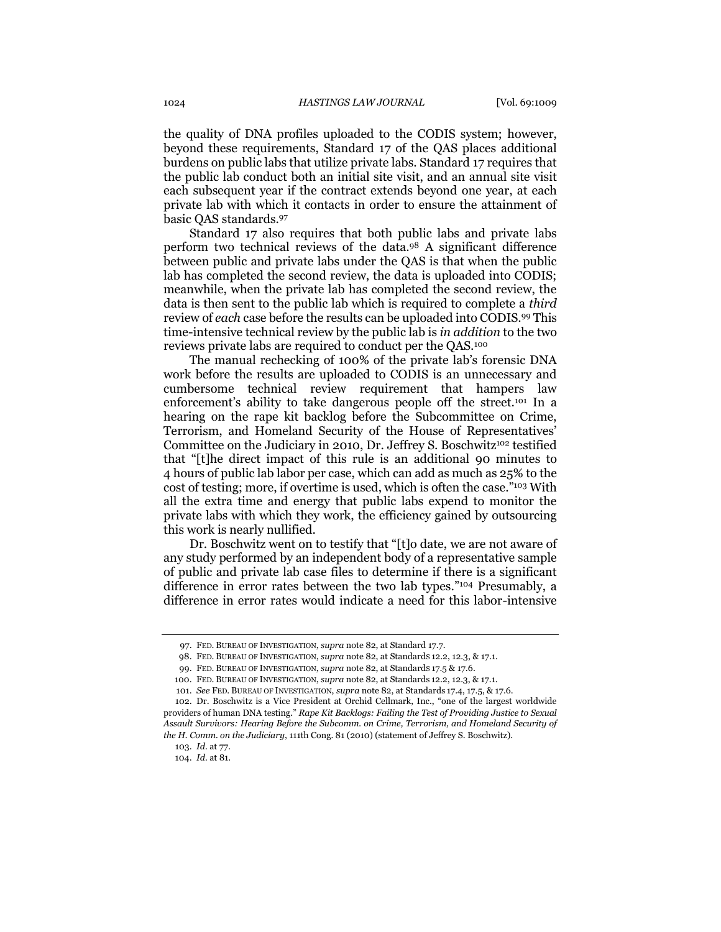the quality of DNA profiles uploaded to the CODIS system; however, beyond these requirements, Standard 17 of the QAS places additional burdens on public labs that utilize private labs. Standard 17 requires that the public lab conduct both an initial site visit, and an annual site visit each subsequent year if the contract extends beyond one year, at each private lab with which it contacts in order to ensure the attainment of basic QAS standards. 97

Standard 17 also requires that both public labs and private labs perform two technical reviews of the data.<sup>98</sup> A significant difference between public and private labs under the QAS is that when the public lab has completed the second review, the data is uploaded into CODIS; meanwhile, when the private lab has completed the second review, the data is then sent to the public lab which is required to complete a *third* review of *each* case before the results can be uploaded into CODIS.<sup>99</sup> This time-intensive technical review by the public lab is *in addition* to the two reviews private labs are required to conduct per the QAS.<sup>100</sup>

The manual rechecking of 100% of the private lab's forensic DNA work before the results are uploaded to CODIS is an unnecessary and cumbersome technical review requirement that hampers law enforcement's ability to take dangerous people off the street.<sup>101</sup> In a hearing on the rape kit backlog before the Subcommittee on Crime, Terrorism, and Homeland Security of the House of Representatives' Committee on the Judiciary in 2010, Dr. Jeffrey S. Boschwitz<sup>102</sup> testified that "[t]he direct impact of this rule is an additional 90 minutes to 4 hours of public lab labor per case, which can add as much as 25% to the cost of testing; more, if overtime is used, which is often the case."<sup>103</sup> With all the extra time and energy that public labs expend to monitor the private labs with which they work, the efficiency gained by outsourcing this work is nearly nullified.

Dr. Boschwitz went on to testify that "[t]o date, we are not aware of any study performed by an independent body of a representative sample of public and private lab case files to determine if there is a significant difference in error rates between the two lab types."<sup>104</sup> Presumably, a difference in error rates would indicate a need for this labor-intensive

<sup>97.</sup> FED. BUREAU OF INVESTIGATION, *supra* not[e 82,](#page-13-0) at Standard 17.7.

<sup>98.</sup> FED. BUREAU OF INVESTIGATION, *supra* not[e 82,](#page-13-0) at StandardS 12.2, 12.3, & 17.1.

<sup>99.</sup> FED. BUREAU OF INVESTIGATION, *supra* not[e 82,](#page-13-0) at Standards 17.5 & 17.6.

<sup>100.</sup> FED. BUREAU OF INVESTIGATION, *supra* not[e 82,](#page-13-0) at Standards 12.2, 12.3, & 17.1.

<sup>101.</sup> *See* FED. BUREAU OF INVESTIGATION, *supra* not[e 82,](#page-13-0) at Standards 17.4, 17.5, & 17.6.

<sup>102.</sup> Dr. Boschwitz is a Vice President at Orchid Cellmark, Inc., "one of the largest worldwide providers of human DNA testing." *Rape Kit Backlogs: Failing the Test of Providing Justice to Sexual Assault Survivors: Hearing Before the Subcomm. on Crime, Terrorism, and Homeland Security of the H. Comm. on the Judiciary*, 111th Cong. 81 (2010) (statement of Jeffrey S. Boschwitz).

<sup>103.</sup> *Id.* at 77.

<sup>104.</sup> *Id.* at 81.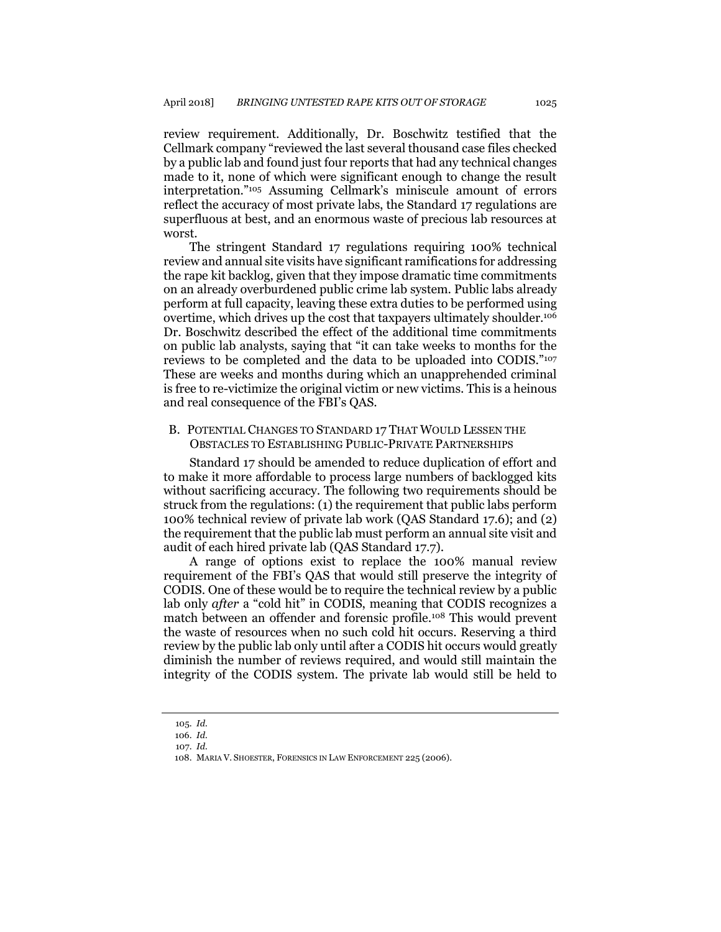review requirement. Additionally, Dr. Boschwitz testified that the Cellmark company "reviewed the last several thousand case files checked by a public lab and found just four reports that had any technical changes made to it, none of which were significant enough to change the result interpretation."<sup>105</sup> Assuming Cellmark's miniscule amount of errors reflect the accuracy of most private labs, the Standard 17 regulations are superfluous at best, and an enormous waste of precious lab resources at worst.

The stringent Standard 17 regulations requiring 100% technical review and annual site visits have significant ramifications for addressing the rape kit backlog, given that they impose dramatic time commitments on an already overburdened public crime lab system. Public labs already perform at full capacity, leaving these extra duties to be performed using overtime, which drives up the cost that taxpayers ultimately shoulder.<sup>106</sup> Dr. Boschwitz described the effect of the additional time commitments on public lab analysts, saying that "it can take weeks to months for the reviews to be completed and the data to be uploaded into CODIS."<sup>107</sup> These are weeks and months during which an unapprehended criminal is free to re-victimize the original victim or new victims. This is a heinous and real consequence of the FBI's QAS.

## B. POTENTIAL CHANGES TO STANDARD 17 THAT WOULD LESSEN THE OBSTACLES TO ESTABLISHING PUBLIC-PRIVATE PARTNERSHIPS

Standard 17 should be amended to reduce duplication of effort and to make it more affordable to process large numbers of backlogged kits without sacrificing accuracy. The following two requirements should be struck from the regulations: (1) the requirement that public labs perform 100% technical review of private lab work (QAS Standard 17.6); and (2) the requirement that the public lab must perform an annual site visit and audit of each hired private lab (QAS Standard 17.7).

A range of options exist to replace the 100% manual review requirement of the FBI's QAS that would still preserve the integrity of CODIS. One of these would be to require the technical review by a public lab only *after* a "cold hit" in CODIS, meaning that CODIS recognizes a match between an offender and forensic profile.<sup>108</sup> This would prevent the waste of resources when no such cold hit occurs. Reserving a third review by the public lab only until after a CODIS hit occurs would greatly diminish the number of reviews required, and would still maintain the integrity of the CODIS system. The private lab would still be held to

<sup>105.</sup> *Id.* 106. *Id.*

<sup>107.</sup> *Id.*

<sup>108.</sup> MARIA V. SHOESTER, FORENSICS IN LAW ENFORCEMENT 225 (2006).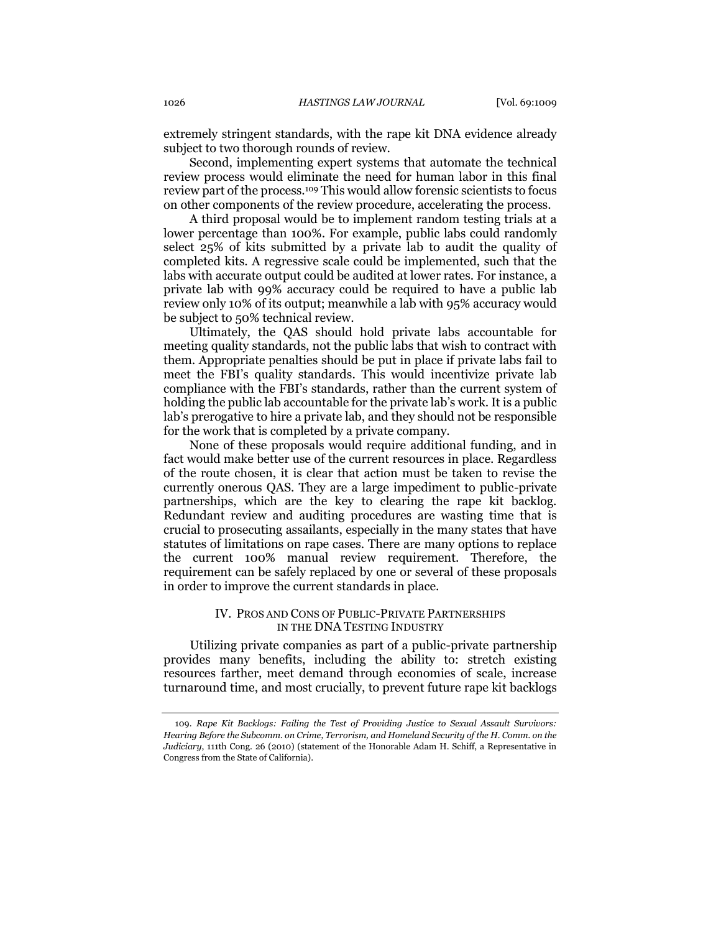extremely stringent standards, with the rape kit DNA evidence already subject to two thorough rounds of review.

Second, implementing expert systems that automate the technical review process would eliminate the need for human labor in this final review part of the process.<sup>109</sup> This would allow forensic scientists to focus on other components of the review procedure, accelerating the process.

A third proposal would be to implement random testing trials at a lower percentage than 100%. For example, public labs could randomly select 25% of kits submitted by a private lab to audit the quality of completed kits. A regressive scale could be implemented, such that the labs with accurate output could be audited at lower rates. For instance, a private lab with 99% accuracy could be required to have a public lab review only 10% of its output; meanwhile a lab with 95% accuracy would be subject to 50% technical review.

Ultimately, the QAS should hold private labs accountable for meeting quality standards, not the public labs that wish to contract with them. Appropriate penalties should be put in place if private labs fail to meet the FBI's quality standards. This would incentivize private lab compliance with the FBI's standards, rather than the current system of holding the public lab accountable for the private lab's work. It is a public lab's prerogative to hire a private lab, and they should not be responsible for the work that is completed by a private company.

None of these proposals would require additional funding, and in fact would make better use of the current resources in place. Regardless of the route chosen, it is clear that action must be taken to revise the currently onerous QAS. They are a large impediment to public-private partnerships, which are the key to clearing the rape kit backlog. Redundant review and auditing procedures are wasting time that is crucial to prosecuting assailants, especially in the many states that have statutes of limitations on rape cases. There are many options to replace the current 100% manual review requirement. Therefore, the requirement can be safely replaced by one or several of these proposals in order to improve the current standards in place.

## IV. PROS AND CONS OF PUBLIC-PRIVATE PARTNERSHIPS IN THE DNA TESTING INDUSTRY

Utilizing private companies as part of a public-private partnership provides many benefits, including the ability to: stretch existing resources farther, meet demand through economies of scale, increase turnaround time, and most crucially, to prevent future rape kit backlogs

<sup>109.</sup> *Rape Kit Backlogs: Failing the Test of Providing Justice to Sexual Assault Survivors: Hearing Before the Subcomm. on Crime, Terrorism, and Homeland Security of the H. Comm. on the Judiciary*, 111th Cong. 26 (2010) (statement of the Honorable Adam H. Schiff, a Representative in Congress from the State of California).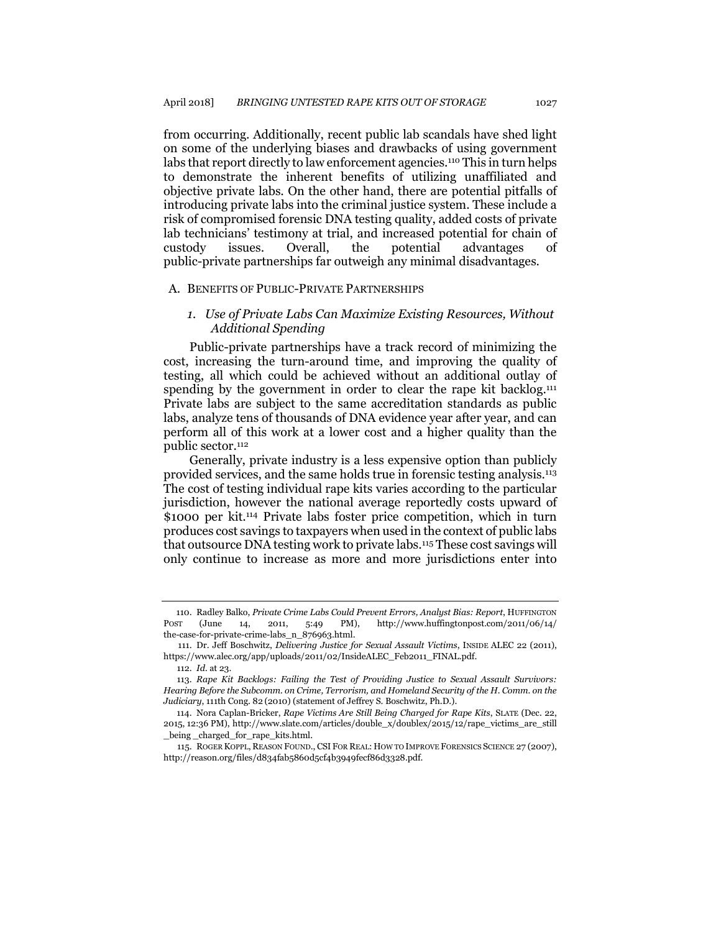<span id="page-18-1"></span>from occurring. Additionally, recent public lab scandals have shed light on some of the underlying biases and drawbacks of using government labs that report directly to law enforcement agencies.<sup>110</sup> This in turn helps to demonstrate the inherent benefits of utilizing unaffiliated and objective private labs. On the other hand, there are potential pitfalls of introducing private labs into the criminal justice system. These include a risk of compromised forensic DNA testing quality, added costs of private lab technicians' testimony at trial, and increased potential for chain of custody issues. Overall, the potential advantages of public-private partnerships far outweigh any minimal disadvantages.

#### A. BENEFITS OF PUBLIC-PRIVATE PARTNERSHIPS

## *1. Use of Private Labs Can Maximize Existing Resources, Without Additional Spending*

Public-private partnerships have a track record of minimizing the cost, increasing the turn-around time, and improving the quality of testing, all which could be achieved without an additional outlay of spending by the government in order to clear the rape kit backlog.<sup>111</sup> Private labs are subject to the same accreditation standards as public labs, analyze tens of thousands of DNA evidence year after year, and can perform all of this work at a lower cost and a higher quality than the public sector.<sup>112</sup>

Generally, private industry is a less expensive option than publicly provided services, and the same holds true in forensic testing analysis.<sup>113</sup> The cost of testing individual rape kits varies according to the particular jurisdiction, however the national average reportedly costs upward of \$1000 per kit.<sup>114</sup> Private labs foster price competition, which in turn produces cost savings to taxpayers when used in the context of public labs that outsource DNA testing work to private labs.<sup>115</sup> These cost savings will only continue to increase as more and more jurisdictions enter into

<span id="page-18-0"></span><sup>110.</sup> Radley Balko, *Private Crime Labs Could Prevent Errors, Analyst Bias: Report*, HUFFINGTON POST (June 14, 2011, 5:49 PM), http://www.huffingtonpost.com/2011/06/14/ the-case-for-private-crime-labs\_n\_876963.html.

<sup>111.</sup> Dr. Jeff Boschwitz, *Delivering Justice for Sexual Assault Victims*, INSIDE ALEC 22 (2011), https://www.alec.org/app/uploads/2011/02/InsideALEC\_Feb2011\_FINAL.pdf.

<sup>112.</sup> *Id.* at 23.

<sup>113.</sup> *Rape Kit Backlogs: Failing the Test of Providing Justice to Sexual Assault Survivors: Hearing Before the Subcomm. on Crime, Terrorism, and Homeland Security of the H. Comm. on the Judiciary*, 111th Cong. 82 (2010) (statement of Jeffrey S. Boschwitz, Ph.D.).

<sup>114.</sup> Nora Caplan-Bricker, *Rape Victims Are Still Being Charged for Rape Kits*, SLATE (Dec. 22, 2015, 12:36 PM), http://www.slate.com/articles/double\_x/doublex/2015/12/rape\_victims\_are\_still \_being \_charged\_for\_rape\_kits.html.

<sup>115.</sup> ROGER KOPPL, REASON FOUND., CSI FOR REAL: HOW TO IMPROVE FORENSICS SCIENCE 27 (2007), http://reason.org/files/d834fab5860d5cf4b3949fecf86d3328.pdf.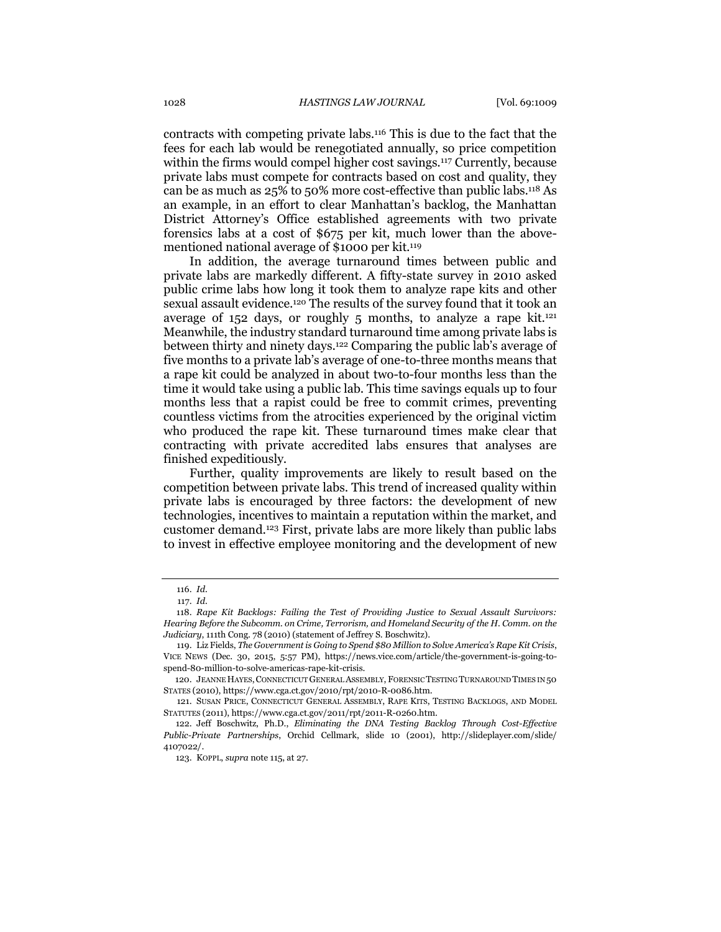contracts with competing private labs.<sup>116</sup> This is due to the fact that the fees for each lab would be renegotiated annually, so price competition within the firms would compel higher cost savings.<sup>117</sup> Currently, because private labs must compete for contracts based on cost and quality, they can be as much as 25% to 50% more cost-effective than public labs.<sup>118</sup> As an example, in an effort to clear Manhattan's backlog, the Manhattan District Attorney's Office established agreements with two private forensics labs at a cost of \$675 per kit, much lower than the abovementioned national average of \$1000 per kit.<sup>119</sup>

<span id="page-19-0"></span>In addition, the average turnaround times between public and private labs are markedly different. A fifty-state survey in 2010 asked public crime labs how long it took them to analyze rape kits and other sexual assault evidence.<sup>120</sup> The results of the survey found that it took an average of  $152$  days, or roughly 5 months, to analyze a rape kit.<sup>121</sup> Meanwhile, the industry standard turnaround time among private labs is between thirty and ninety days.<sup>122</sup> Comparing the public lab's average of five months to a private lab's average of one-to-three months means that a rape kit could be analyzed in about two-to-four months less than the time it would take using a public lab. This time savings equals up to four months less that a rapist could be free to commit crimes, preventing countless victims from the atrocities experienced by the original victim who produced the rape kit. These turnaround times make clear that contracting with private accredited labs ensures that analyses are finished expeditiously.

Further, quality improvements are likely to result based on the competition between private labs. This trend of increased quality within private labs is encouraged by three factors: the development of new technologies, incentives to maintain a reputation within the market, and customer demand.<sup>123</sup> First, private labs are more likely than public labs to invest in effective employee monitoring and the development of new

<sup>116.</sup> *Id.*

<sup>117.</sup> *Id.*

<sup>118.</sup> *Rape Kit Backlogs: Failing the Test of Providing Justice to Sexual Assault Survivors: Hearing Before the Subcomm. on Crime, Terrorism, and Homeland Security of the H. Comm. on the Judiciary*, 111th Cong. 78 (2010) (statement of Jeffrey S. Boschwitz).

<sup>119.</sup> Liz Fields, *The Government is Going to Spend \$80 Million to Solve America's Rape Kit Crisis*, VICE NEWS (Dec. 30, 2015, 5:57 PM), https://news.vice.com/article/the-government-is-going-tospend-80-million-to-solve-americas-rape-kit-crisis.

<sup>120.</sup> JEANNE HAYES,CONNECTICUT GENERAL ASSEMBLY, FORENSIC TESTING TURNAROUND TIMES IN 50 STATES (2010), https://www.cga.ct.gov/2010/rpt/2010-R-0086.htm.

<sup>121.</sup> SUSAN PRICE, CONNECTICUT GENERAL ASSEMBLY, RAPE KITS, TESTING BACKLOGS, AND MODEL STATUTES (2011), https://www.cga.ct.gov/2011/rpt/2011-R-0260.htm.

<sup>122.</sup> Jeff Boschwitz, Ph.D., *Eliminating the DNA Testing Backlog Through Cost-Effective Public-Private Partnerships*, Orchid Cellmark, slide 10 (2001), http://slideplayer.com/slide/ 4107022/.

<sup>123.</sup> KOPPL, *supra* not[e 115,](#page-18-0) at 27.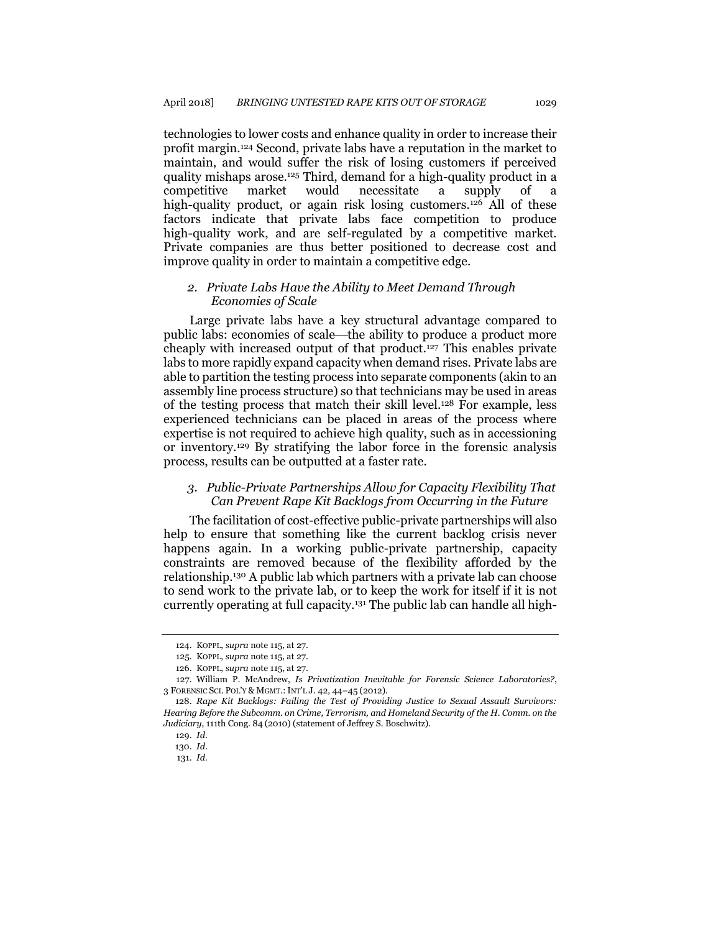technologies to lower costs and enhance quality in order to increase their profit margin.<sup>124</sup> Second, private labs have a reputation in the market to maintain, and would suffer the risk of losing customers if perceived quality mishaps arose.<sup>125</sup> Third, demand for a high-quality product in a competitive market would necessitate a supply of a high-quality product, or again risk losing customers.<sup>126</sup> All of these factors indicate that private labs face competition to produce high-quality work, and are self-regulated by a competitive market. Private companies are thus better positioned to decrease cost and improve quality in order to maintain a competitive edge.

## *2. Private Labs Have the Ability to Meet Demand Through Economies of Scale*

Large private labs have a key structural advantage compared to public labs: economies of scale—the ability to produce a product more cheaply with increased output of that product.<sup>127</sup> This enables private labs to more rapidly expand capacity when demand rises. Private labs are able to partition the testing process into separate components (akin to an assembly line process structure) so that technicians may be used in areas of the testing process that match their skill level.<sup>128</sup> For example, less experienced technicians can be placed in areas of the process where expertise is not required to achieve high quality, such as in accessioning or inventory.<sup>129</sup> By stratifying the labor force in the forensic analysis process, results can be outputted at a faster rate.

## *3. Public-Private Partnerships Allow for Capacity Flexibility That Can Prevent Rape Kit Backlogs from Occurring in the Future*

The facilitation of cost-effective public-private partnerships will also help to ensure that something like the current backlog crisis never happens again. In a working public-private partnership, capacity constraints are removed because of the flexibility afforded by the relationship.<sup>130</sup> A public lab which partners with a private lab can choose to send work to the private lab, or to keep the work for itself if it is not currently operating at full capacity.<sup>131</sup> The public lab can handle all high-

<sup>124.</sup> KOPPL, *supra* not[e 115,](#page-18-0) at 27.

<sup>125.</sup> KOPPL, *supra* not[e 115,](#page-18-0) at 27.

<sup>126.</sup> KOPPL, *supra* not[e 115,](#page-18-0) at 27.

<sup>127.</sup> William P. McAndrew, *Is Privatization Inevitable for Forensic Science Laboratories?*, 3 FORENSIC SCI. POL'Y & MGMT.:INT'L J. 42, 44–45 (2012).

<sup>128.</sup> *Rape Kit Backlogs: Failing the Test of Providing Justice to Sexual Assault Survivors: Hearing Before the Subcomm. on Crime, Terrorism, and Homeland Security of the H. Comm. on the Judiciary*, 111th Cong. 84 (2010) (statement of Jeffrey S. Boschwitz).

<sup>129.</sup> *Id.*

<sup>130.</sup> *Id*.

<sup>131.</sup> *Id.*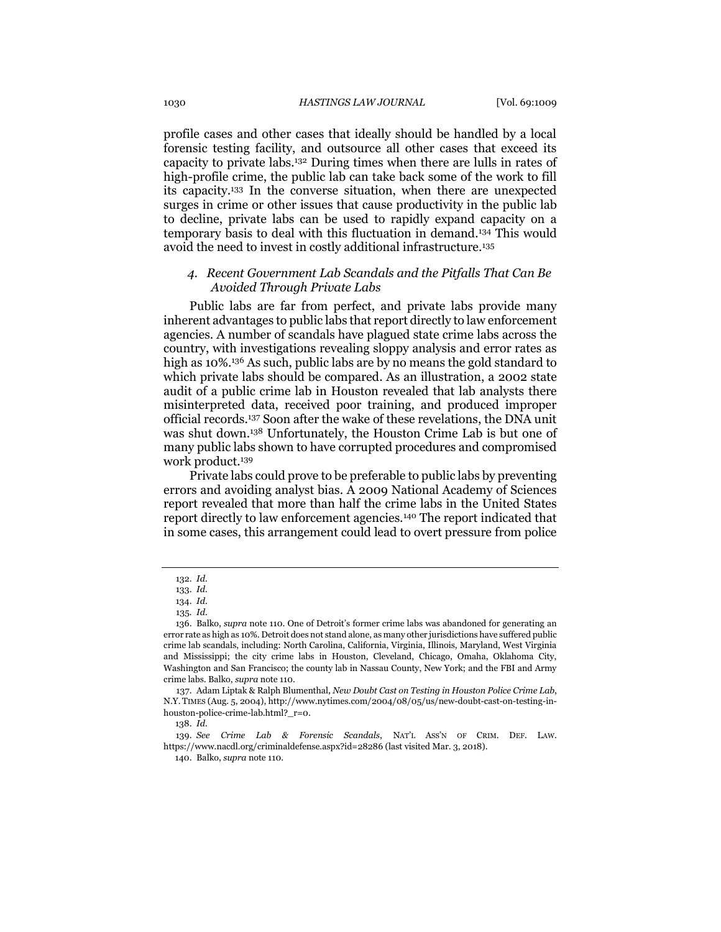profile cases and other cases that ideally should be handled by a local forensic testing facility, and outsource all other cases that exceed its capacity to private labs.<sup>132</sup> During times when there are lulls in rates of high-profile crime, the public lab can take back some of the work to fill its capacity.<sup>133</sup> In the converse situation, when there are unexpected surges in crime or other issues that cause productivity in the public lab to decline, private labs can be used to rapidly expand capacity on a temporary basis to deal with this fluctuation in demand.<sup>134</sup> This would avoid the need to invest in costly additional infrastructure.<sup>135</sup>

## *4. Recent Government Lab Scandals and the Pitfalls That Can Be Avoided Through Private Labs*

Public labs are far from perfect, and private labs provide many inherent advantages to public labs that report directly to law enforcement agencies. A number of scandals have plagued state crime labs across the country, with investigations revealing sloppy analysis and error rates as high as 10%. <sup>136</sup> As such, public labs are by no means the gold standard to which private labs should be compared. As an illustration, a 2002 state audit of a public crime lab in Houston revealed that lab analysts there misinterpreted data, received poor training, and produced improper official records.<sup>137</sup> Soon after the wake of these revelations, the DNA unit was shut down.<sup>138</sup> Unfortunately, the Houston Crime Lab is but one of many public labs shown to have corrupted procedures and compromised work product.<sup>139</sup>

Private labs could prove to be preferable to public labs by preventing errors and avoiding analyst bias. A 2009 National Academy of Sciences report revealed that more than half the crime labs in the United States report directly to law enforcement agencies.<sup>140</sup> The report indicated that in some cases, this arrangement could lead to overt pressure from police

<sup>132.</sup> *Id.*

<sup>133.</sup> *Id.*

<sup>134.</sup> *Id.*

<sup>135</sup>*. Id.*

<sup>136.</sup> Balko, *supra* note [110](#page-18-1). One of Detroit's former crime labs was abandoned for generating an error rate as high as 10%. Detroit does not stand alone, as many other jurisdictions have suffered public crime lab scandals, including: North Carolina, California, Virginia, Illinois, Maryland, West Virginia and Mississippi; the city crime labs in Houston, Cleveland, Chicago, Omaha, Oklahoma City, Washington and San Francisco; the county lab in Nassau County, New York; and the FBI and Army crime labs. Balko, *supra* not[e 110.](#page-18-1)

<sup>137.</sup> Adam Liptak & Ralph Blumenthal, *New Doubt Cast on Testing in Houston Police Crime Lab*, N.Y. TIMES (Aug. 5, 2004), http://www.nytimes.com/2004/08/05/us/new-doubt-cast-on-testing-inhouston-police-crime-lab.html?\_r=0.

<sup>138.</sup> *Id.*

<sup>139.</sup> *See Crime Lab & Forensic Scandals*, NAT'L ASS'N OF CRIM. DEF. LAW. https://www.nacdl.org/criminaldefense.aspx?id=28286 (last visited Mar. 3, 2018).

<sup>140.</sup> Balko, *supra* not[e 110.](#page-18-1)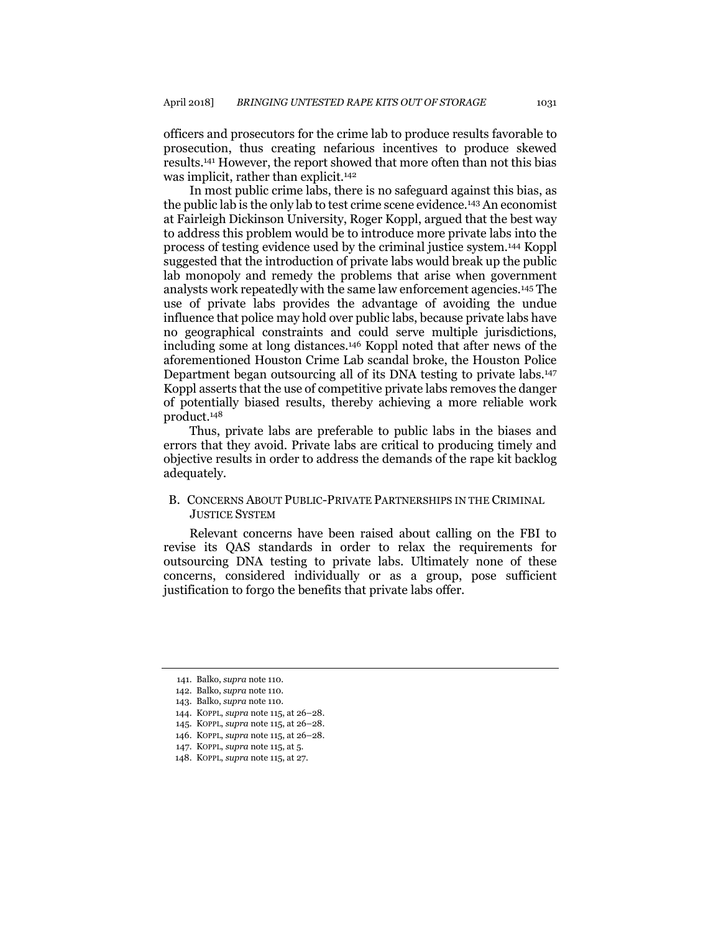officers and prosecutors for the crime lab to produce results favorable to prosecution, thus creating nefarious incentives to produce skewed results.<sup>141</sup> However, the report showed that more often than not this bias was implicit, rather than explicit.<sup>142</sup>

In most public crime labs, there is no safeguard against this bias, as the public lab is the only lab to test crime scene evidence.<sup>143</sup> An economist at Fairleigh Dickinson University, Roger Koppl, argued that the best way to address this problem would be to introduce more private labs into the process of testing evidence used by the criminal justice system.<sup>144</sup> Koppl suggested that the introduction of private labs would break up the public lab monopoly and remedy the problems that arise when government analysts work repeatedly with the same law enforcement agencies.<sup>145</sup> The use of private labs provides the advantage of avoiding the undue influence that police may hold over public labs, because private labs have no geographical constraints and could serve multiple jurisdictions, including some at long distances.<sup>146</sup> Koppl noted that after news of the aforementioned Houston Crime Lab scandal broke, the Houston Police Department began outsourcing all of its DNA testing to private labs.<sup>147</sup> Koppl asserts that the use of competitive private labs removes the danger of potentially biased results, thereby achieving a more reliable work product.<sup>148</sup>

Thus, private labs are preferable to public labs in the biases and errors that they avoid. Private labs are critical to producing timely and objective results in order to address the demands of the rape kit backlog adequately.

## B. CONCERNS ABOUT PUBLIC-PRIVATE PARTNERSHIPS IN THE CRIMINAL JUSTICE SYSTEM

Relevant concerns have been raised about calling on the FBI to revise its QAS standards in order to relax the requirements for outsourcing DNA testing to private labs. Ultimately none of these concerns, considered individually or as a group, pose sufficient justification to forgo the benefits that private labs offer.

<sup>141.</sup> Balko, *supra* not[e 110.](#page-18-1)

<sup>142.</sup> Balko, *supra* not[e 110.](#page-18-1)

<sup>143.</sup> Balko, *supra* not[e 110.](#page-18-1)

<sup>144.</sup> KOPPL, *supra* not[e 115,](#page-18-0) at 26–28.

<sup>145.</sup> KOPPL, *supra* not[e 115,](#page-18-0) at 26–28.

<sup>146.</sup> KOPPL, *supra* not[e 115,](#page-18-0) at 26–28.

<sup>147.</sup> KOPPL, *supra* not[e 115,](#page-18-0) at 5.

<sup>148.</sup> KOPPL, *supra* not[e 115,](#page-18-0) at 27.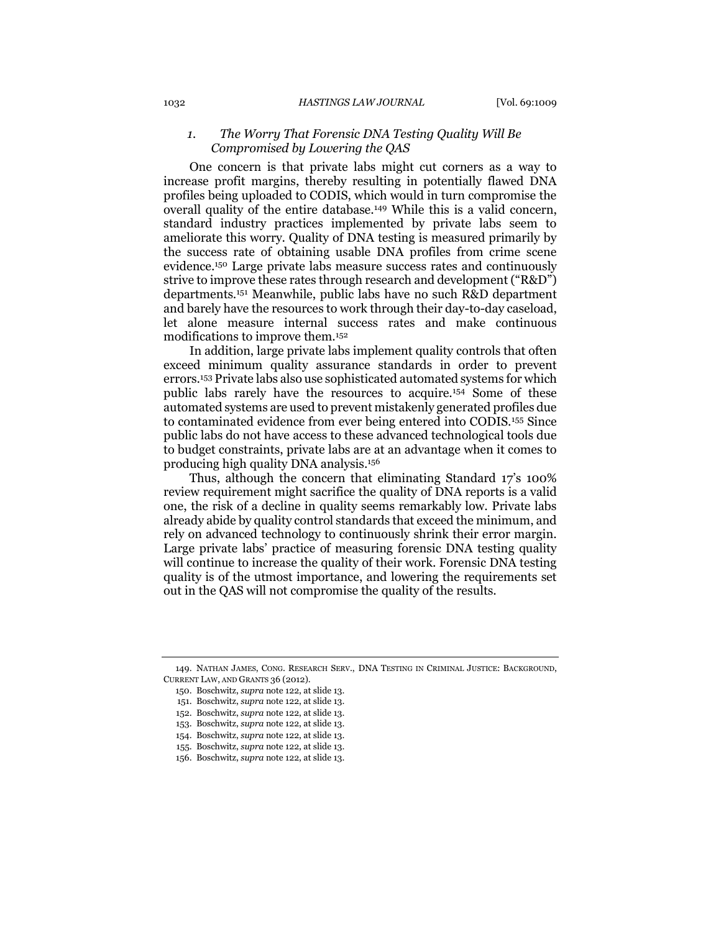## <span id="page-23-0"></span>*1. The Worry That Forensic DNA Testing Quality Will Be Compromised by Lowering the QAS*

One concern is that private labs might cut corners as a way to increase profit margins, thereby resulting in potentially flawed DNA profiles being uploaded to CODIS, which would in turn compromise the overall quality of the entire database.<sup>149</sup> While this is a valid concern, standard industry practices implemented by private labs seem to ameliorate this worry. Quality of DNA testing is measured primarily by the success rate of obtaining usable DNA profiles from crime scene evidence.<sup>150</sup> Large private labs measure success rates and continuously strive to improve these rates through research and development ("R&D") departments.<sup>151</sup> Meanwhile, public labs have no such R&D department and barely have the resources to work through their day-to-day caseload, let alone measure internal success rates and make continuous modifications to improve them.<sup>152</sup>

In addition, large private labs implement quality controls that often exceed minimum quality assurance standards in order to prevent errors.<sup>153</sup> Private labs also use sophisticated automated systems for which public labs rarely have the resources to acquire.<sup>154</sup> Some of these automated systems are used to prevent mistakenly generated profiles due to contaminated evidence from ever being entered into CODIS.<sup>155</sup> Since public labs do not have access to these advanced technological tools due to budget constraints, private labs are at an advantage when it comes to producing high quality DNA analysis.<sup>156</sup>

Thus, although the concern that eliminating Standard 17's 100% review requirement might sacrifice the quality of DNA reports is a valid one, the risk of a decline in quality seems remarkably low. Private labs already abide by quality control standards that exceed the minimum, and rely on advanced technology to continuously shrink their error margin. Large private labs' practice of measuring forensic DNA testing quality will continue to increase the quality of their work. Forensic DNA testing quality is of the utmost importance, and lowering the requirements set out in the QAS will not compromise the quality of the results.

<sup>149.</sup> NATHAN JAMES, CONG. RESEARCH SERV., DNA TESTING IN CRIMINAL JUSTICE: BACKGROUND, CURRENT LAW, AND GRANTS 36 (2012).

<sup>150.</sup> Boschwitz, *supra* not[e 122,](#page-19-0) at slide 13.

<sup>151.</sup> Boschwitz, *supra* not[e 122,](#page-19-0) at slide 13.

<sup>152.</sup> Boschwitz, *supra* not[e 122,](#page-19-0) at slide 13.

<sup>153.</sup> Boschwitz, *supra* not[e 122,](#page-19-0) at slide 13.

<sup>154.</sup> Boschwitz, *supra* not[e 122,](#page-19-0) at slide 13.

<sup>155.</sup> Boschwitz, *supra* not[e 122,](#page-19-0) at slide 13.

<sup>156.</sup> Boschwitz, *supra* not[e 122,](#page-19-0) at slide 13.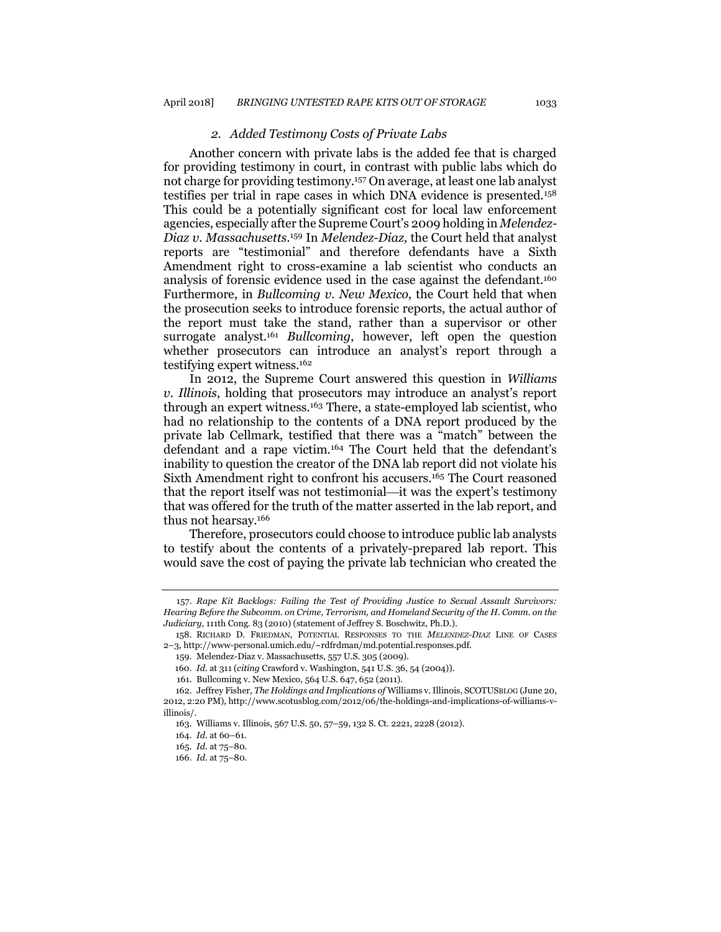#### *2. Added Testimony Costs of Private Labs*

Another concern with private labs is the added fee that is charged for providing testimony in court, in contrast with public labs which do not charge for providing testimony.<sup>157</sup> On average, at least one lab analyst testifies per trial in rape cases in which DNA evidence is presented.<sup>158</sup> This could be a potentially significant cost for local law enforcement agencies, especially after the Supreme Court's 2009 holding in *Melendez-Diaz v. Massachusetts*. <sup>159</sup> In *Melendez-Diaz*, the Court held that analyst reports are "testimonial" and therefore defendants have a Sixth Amendment right to cross-examine a lab scientist who conducts an analysis of forensic evidence used in the case against the defendant.<sup>160</sup> Furthermore, in *Bullcoming v. New Mexico*, the Court held that when the prosecution seeks to introduce forensic reports, the actual author of the report must take the stand, rather than a supervisor or other surrogate analyst.<sup>161</sup> *Bullcoming*, however, left open the question whether prosecutors can introduce an analyst's report through a testifying expert witness.<sup>162</sup>

In 2012, the Supreme Court answered this question in *Williams v. Illinois*, holding that prosecutors may introduce an analyst's report through an expert witness.<sup>163</sup> There, a state-employed lab scientist, who had no relationship to the contents of a DNA report produced by the private lab Cellmark, testified that there was a "match" between the defendant and a rape victim.<sup>164</sup> The Court held that the defendant's inability to question the creator of the DNA lab report did not violate his Sixth Amendment right to confront his accusers.<sup>165</sup> The Court reasoned that the report itself was not testimonial—it was the expert's testimony that was offered for the truth of the matter asserted in the lab report, and thus not hearsay.<sup>166</sup>

Therefore, prosecutors could choose to introduce public lab analysts to testify about the contents of a privately-prepared lab report. This would save the cost of paying the private lab technician who created the

<sup>157.</sup> *Rape Kit Backlogs: Failing the Test of Providing Justice to Sexual Assault Survivors: Hearing Before the Subcomm. on Crime, Terrorism, and Homeland Security of the H. Comm. on the Judiciary*, 111th Cong. 83 (2010) (statement of Jeffrey S. Boschwitz, Ph.D.).

<sup>158.</sup> RICHARD D. FRIEDMAN, POTENTIAL RESPONSES TO THE *MELENDEZ-DIAZ* LINE OF CASES 2–3, http://www-personal.umich.edu/~rdfrdman/md.potential.responses.pdf.

<sup>159.</sup> Melendez-Diaz v. Massachusetts, 557 U.S. 305 (2009).

<sup>160.</sup> *Id.* at 311 (*citing* Crawford v. Washington, 541 U.S. 36, 54 (2004)).

<sup>161.</sup> Bullcoming v. New Mexico, 564 U.S. 647, 652 (2011).

<sup>162.</sup> Jeffrey Fisher, *The Holdings and Implications of* Williams v. Illinois, SCOTUSBLOG (June 20, 2012, 2:20 PM), http://www.scotusblog.com/2012/06/the-holdings-and-implications-of-williams-villinois/.

<sup>163.</sup> Williams v. Illinois, 567 U.S. 50, 57–59, 132 S. Ct. 2221, 2228 (2012).

<sup>164.</sup> *Id.* at 60–61.

<sup>165.</sup> *Id.* at 75–80.

<sup>166.</sup> *Id.* at 75–80.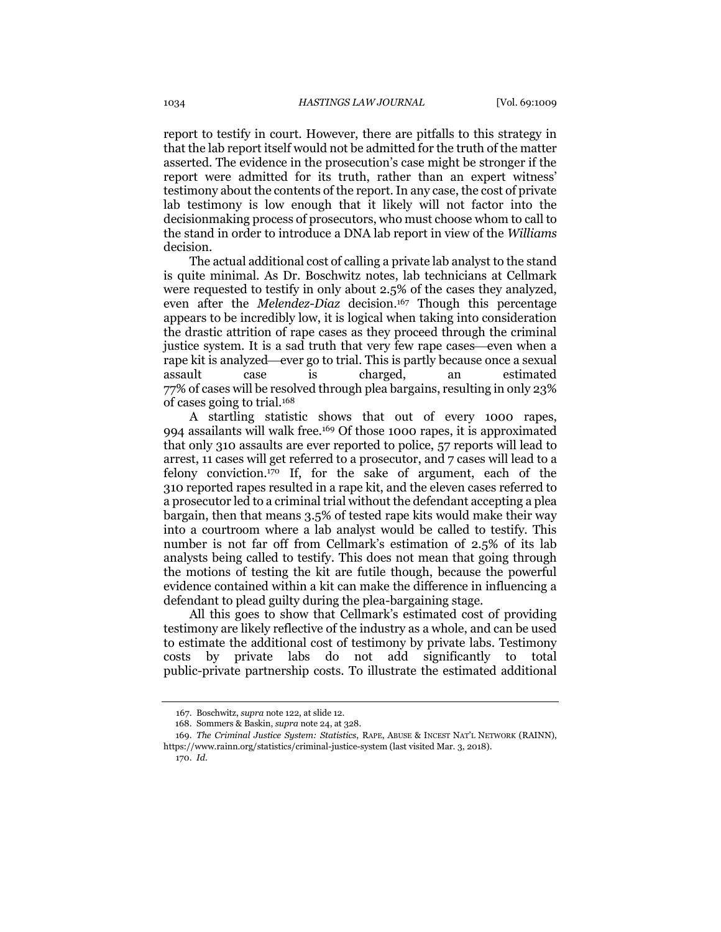report to testify in court. However, there are pitfalls to this strategy in that the lab report itself would not be admitted for the truth of the matter asserted. The evidence in the prosecution's case might be stronger if the report were admitted for its truth, rather than an expert witness' testimony about the contents of the report. In any case, the cost of private lab testimony is low enough that it likely will not factor into the decisionmaking process of prosecutors, who must choose whom to call to the stand in order to introduce a DNA lab report in view of the *Williams* decision.

The actual additional cost of calling a private lab analyst to the stand is quite minimal. As Dr. Boschwitz notes, lab technicians at Cellmark were requested to testify in only about 2.5% of the cases they analyzed, even after the *Melendez-Diaz* decision.<sup>167</sup> Though this percentage appears to be incredibly low, it is logical when taking into consideration the drastic attrition of rape cases as they proceed through the criminal justice system. It is a sad truth that very few rape cases—even when a rape kit is analyzed—ever go to trial. This is partly because once a sexual assault case is charged, an estimated 77% of cases will be resolved through plea bargains, resulting in only 23% of cases going to trial.<sup>168</sup>

A startling statistic shows that out of every 1000 rapes, 994 assailants will walk free.<sup>169</sup> Of those 1000 rapes, it is approximated that only 310 assaults are ever reported to police, 57 reports will lead to arrest, 11 cases will get referred to a prosecutor, and 7 cases will lead to a felony conviction.<sup>170</sup> If, for the sake of argument, each of the 310 reported rapes resulted in a rape kit, and the eleven cases referred to a prosecutor led to a criminal trial without the defendant accepting a plea bargain, then that means 3.5% of tested rape kits would make their way into a courtroom where a lab analyst would be called to testify. This number is not far off from Cellmark's estimation of 2.5% of its lab analysts being called to testify. This does not mean that going through the motions of testing the kit are futile though, because the powerful evidence contained within a kit can make the difference in influencing a defendant to plead guilty during the plea-bargaining stage.

All this goes to show that Cellmark's estimated cost of providing testimony are likely reflective of the industry as a whole, and can be used to estimate the additional cost of testimony by private labs. Testimony costs by private labs do not add significantly to total public-private partnership costs. To illustrate the estimated additional

<sup>167.</sup> Boschwitz, *supra* not[e 122,](#page-19-0) at slide 12.

<sup>168.</sup> Sommers & Baskin, *supra* not[e 24,](#page-6-1) at 328.

<sup>169.</sup> *The Criminal Justice System: Statistics*, RAPE, ABUSE & INCEST NAT'L NETWORK (RAINN), https://www.rainn.org/statistics/criminal-justice-system (last visited Mar. 3, 2018).

<sup>170.</sup> *Id.*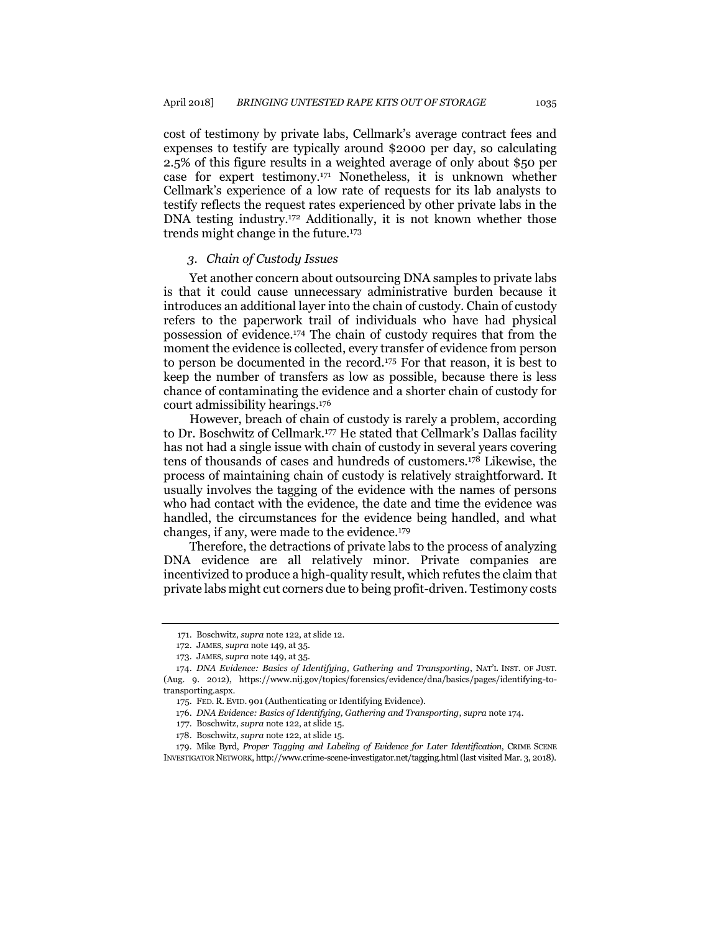cost of testimony by private labs, Cellmark's average contract fees and expenses to testify are typically around \$2000 per day, so calculating 2.5% of this figure results in a weighted average of only about \$50 per case for expert testimony.<sup>171</sup> Nonetheless, it is unknown whether Cellmark's experience of a low rate of requests for its lab analysts to testify reflects the request rates experienced by other private labs in the DNA testing industry.<sup>172</sup> Additionally, it is not known whether those trends might change in the future.<sup>173</sup>

#### <span id="page-26-0"></span>*3. Chain of Custody Issues*

Yet another concern about outsourcing DNA samples to private labs is that it could cause unnecessary administrative burden because it introduces an additional layer into the chain of custody. Chain of custody refers to the paperwork trail of individuals who have had physical possession of evidence.<sup>174</sup> The chain of custody requires that from the moment the evidence is collected, every transfer of evidence from person to person be documented in the record.<sup>175</sup> For that reason, it is best to keep the number of transfers as low as possible, because there is less chance of contaminating the evidence and a shorter chain of custody for court admissibility hearings.<sup>176</sup>

However, breach of chain of custody is rarely a problem, according to Dr. Boschwitz of Cellmark.<sup>177</sup> He stated that Cellmark's Dallas facility has not had a single issue with chain of custody in several years covering tens of thousands of cases and hundreds of customers.<sup>178</sup> Likewise, the process of maintaining chain of custody is relatively straightforward. It usually involves the tagging of the evidence with the names of persons who had contact with the evidence, the date and time the evidence was handled, the circumstances for the evidence being handled, and what changes, if any, were made to the evidence.<sup>179</sup>

Therefore, the detractions of private labs to the process of analyzing DNA evidence are all relatively minor. Private companies are incentivized to produce a high-quality result, which refutes the claim that private labs might cut corners due to being profit-driven. Testimony costs

<sup>171.</sup> Boschwitz, *supra* note [122,](#page-19-0) at slide 12.

<sup>172.</sup> JAMES, *supra* not[e 149,](#page-23-0) at 35.

<sup>173.</sup> JAMES, *supra* not[e 149,](#page-23-0) at 35.

<sup>174.</sup> *DNA Evidence: Basics of Identifying, Gathering and Transporting*, NAT'L INST. OF JUST. (Aug. 9. 2012), https://www.nij.gov/topics/forensics/evidence/dna/basics/pages/identifying-totransporting.aspx.

<sup>175.</sup> FED. R. EVID. 901 (Authenticating or Identifying Evidence).

<sup>176.</sup> *DNA Evidence: Basics of Identifying, Gathering and Transporting*, *supra* not[e 174.](#page-26-0)

<sup>177.</sup> Boschwitz, *supra* not[e 122,](#page-19-0) at slide 15.

<sup>178.</sup> Boschwitz, *supra* not[e 122,](#page-19-0) at slide 15.

<sup>179.</sup> Mike Byrd, *Proper Tagging and Labeling of Evidence for Later Identification*, CRIME SCENE INVESTIGATOR NETWORK, http://www.crime-scene-investigator.net/tagging.html (last visited Mar. 3, 2018).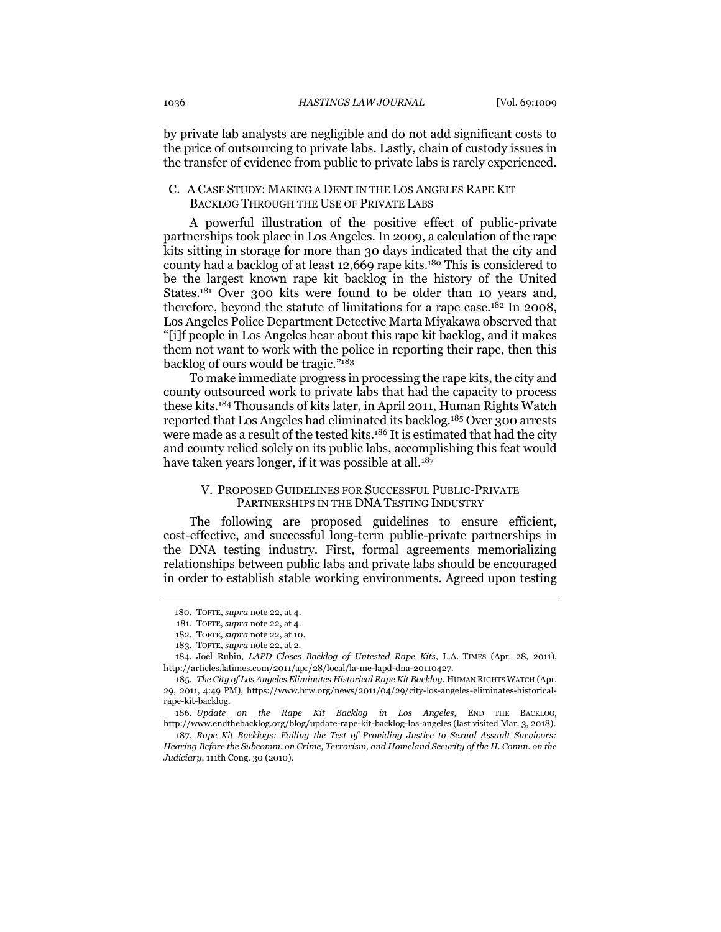by private lab analysts are negligible and do not add significant costs to the price of outsourcing to private labs. Lastly, chain of custody issues in the transfer of evidence from public to private labs is rarely experienced.

## C. A CASE STUDY: MAKING A DENT IN THE LOS ANGELES RAPE KIT BACKLOG THROUGH THE USE OF PRIVATE LABS

A powerful illustration of the positive effect of public-private partnerships took place in Los Angeles. In 2009, a calculation of the rape kits sitting in storage for more than 30 days indicated that the city and county had a backlog of at least 12,669 rape kits.<sup>180</sup> This is considered to be the largest known rape kit backlog in the history of the United States.<sup>181</sup> Over 300 kits were found to be older than 10 years and, therefore, beyond the statute of limitations for a rape case.<sup>182</sup> In 2008, Los Angeles Police Department Detective Marta Miyakawa observed that "[i]f people in Los Angeles hear about this rape kit backlog, and it makes them not want to work with the police in reporting their rape, then this backlog of ours would be tragic."<sup>183</sup>

To make immediate progress in processing the rape kits, the city and county outsourced work to private labs that had the capacity to process these kits.<sup>184</sup> Thousands of kits later, in April 2011, Human Rights Watch reported that Los Angeles had eliminated its backlog.<sup>185</sup> Over 300 arrests were made as a result of the tested kits.<sup>186</sup> It is estimated that had the city and county relied solely on its public labs, accomplishing this feat would have taken years longer, if it was possible at all.<sup>187</sup>

#### V. PROPOSED GUIDELINES FOR SUCCESSFUL PUBLIC-PRIVATE PARTNERSHIPS IN THE DNA TESTING INDUSTRY

The following are proposed guidelines to ensure efficient, cost-effective, and successful long-term public-private partnerships in the DNA testing industry. First, formal agreements memorializing relationships between public labs and private labs should be encouraged in order to establish stable working environments. Agreed upon testing

<sup>180.</sup> TOFTE, *supra* not[e 22,](#page-6-0) at 4.

<sup>181.</sup> TOFTE, *supra* not[e 22,](#page-6-0) at 4.

<sup>182.</sup> TOFTE, *supra* not[e 22,](#page-6-0) at 10.

<sup>183.</sup> TOFTE, *supra* not[e 22,](#page-6-0) at 2.

<sup>184.</sup> Joel Rubin, *LAPD Closes Backlog of Untested Rape Kits*, L.A. TIMES (Apr. 28, 2011), http://articles.latimes.com/2011/apr/28/local/la-me-lapd-dna-20110427.

<sup>185.</sup> *The City of Los Angeles Eliminates Historical Rape Kit Backlog*, HUMAN RIGHTS WATCH (Apr. 29, 2011, 4:49 PM), https://www.hrw.org/news/2011/04/29/city-los-angeles-eliminates-historicalrape-kit-backlog.

<sup>186.</sup> *Update on the Rape Kit Backlog in Los Angeles*, END THE BACKLOG, http://www.endthebacklog.org/blog/update-rape-kit-backlog-los-angeles (last visited Mar. 3, 2018).

<sup>187.</sup> *Rape Kit Backlogs: Failing the Test of Providing Justice to Sexual Assault Survivors: Hearing Before the Subcomm. on Crime, Terrorism, and Homeland Security of the H. Comm. on the Judiciary*, 111th Cong. 30 (2010).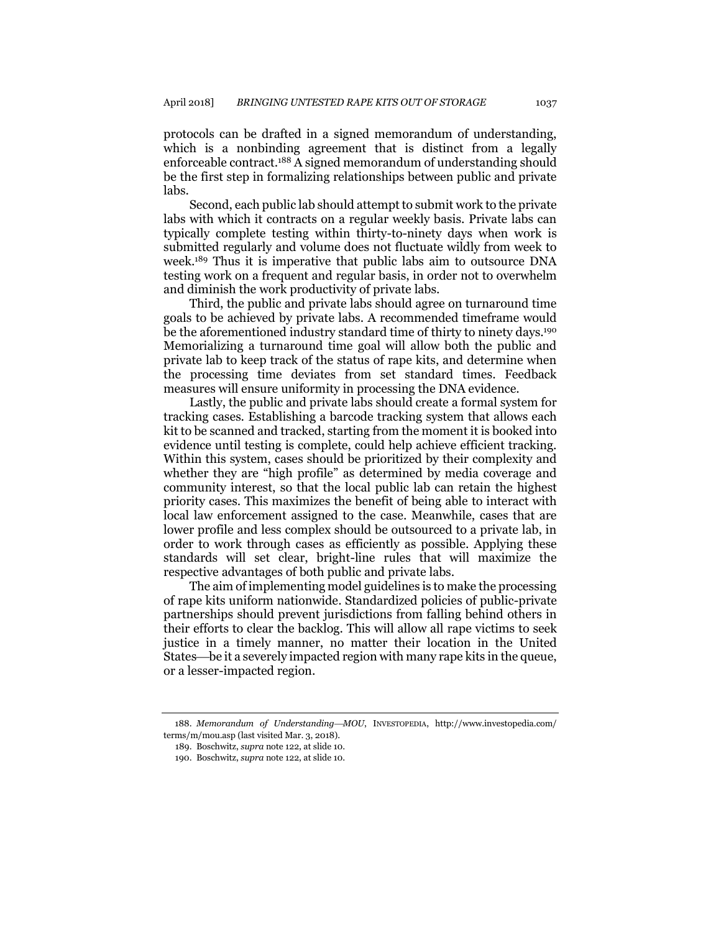protocols can be drafted in a signed memorandum of understanding, which is a nonbinding agreement that is distinct from a legally enforceable contract.<sup>188</sup> A signed memorandum of understanding should be the first step in formalizing relationships between public and private labs.

Second, each public lab should attempt to submit work to the private labs with which it contracts on a regular weekly basis. Private labs can typically complete testing within thirty-to-ninety days when work is submitted regularly and volume does not fluctuate wildly from week to week.<sup>189</sup> Thus it is imperative that public labs aim to outsource DNA testing work on a frequent and regular basis, in order not to overwhelm and diminish the work productivity of private labs.

Third, the public and private labs should agree on turnaround time goals to be achieved by private labs. A recommended timeframe would be the aforementioned industry standard time of thirty to ninety days.<sup>190</sup> Memorializing a turnaround time goal will allow both the public and private lab to keep track of the status of rape kits, and determine when the processing time deviates from set standard times. Feedback measures will ensure uniformity in processing the DNA evidence.

Lastly, the public and private labs should create a formal system for tracking cases. Establishing a barcode tracking system that allows each kit to be scanned and tracked, starting from the moment it is booked into evidence until testing is complete, could help achieve efficient tracking. Within this system, cases should be prioritized by their complexity and whether they are "high profile" as determined by media coverage and community interest, so that the local public lab can retain the highest priority cases. This maximizes the benefit of being able to interact with local law enforcement assigned to the case. Meanwhile, cases that are lower profile and less complex should be outsourced to a private lab, in order to work through cases as efficiently as possible. Applying these standards will set clear, bright-line rules that will maximize the respective advantages of both public and private labs.

The aim of implementing model guidelines is to make the processing of rape kits uniform nationwide. Standardized policies of public-private partnerships should prevent jurisdictions from falling behind others in their efforts to clear the backlog. This will allow all rape victims to seek justice in a timely manner, no matter their location in the United States—be it a severely impacted region with many rape kits in the queue, or a lesser-impacted region.

<sup>188.</sup> *Memorandum of UnderstandingMOU*, INVESTOPEDIA, http://www.investopedia.com/ terms/m/mou.asp (last visited Mar. 3, 2018).

<sup>189.</sup> Boschwitz, *supra* not[e 122,](#page-19-0) at slide 10.

<sup>190.</sup> Boschwitz, *supra* not[e 122,](#page-19-0) at slide 10.